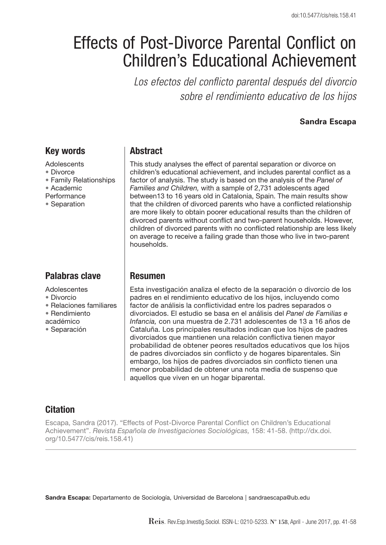# Effects of Post-Divorce Parental Conflict on Children's Educational Achievement

*Los efectos del conflicto parental después del divorcio sobre el rendimiento educativo de los hijos*

#### **Sandra Escapa**

## Key words

- **Adolescents**
- Divorce
- Family Relationships
- Academic
- **Performance**
- Separation

## Palabras clave

Adolescentes

- Divorcio
- Relaciones familiares
- Rendimiento
- académico
- Separación

## **Abstract**

This study analyses the effect of parental separation or divorce on children's educational achievement, and includes parental conflict as a factor of analysis. The study is based on the analysis of the *Panel of Families and Children,* with a sample of 2,731 adolescents aged between13 to 16 years old in Catalonia, Spain. The main results show that the children of divorced parents who have a conflicted relationship are more likely to obtain poorer educational results than the children of divorced parents without conflict and two-parent households. However, children of divorced parents with no conflicted relationship are less likely on average to receive a failing grade than those who live in two-parent households.

## Resumen

Esta investigación analiza el efecto de la separación o divorcio de los padres en el rendimiento educativo de los hijos, incluyendo como factor de análisis la conflictividad entre los padres separados o divorciados. El estudio se basa en el análisis del *Panel de Familias e Infancia,* con una muestra de 2.731 adolescentes de 13 a 16 años de Cataluña. Los principales resultados indican que los hijos de padres divorciados que mantienen una relación conflictiva tienen mayor probabilidad de obtener peores resultados educativos que los hijos de padres divorciados sin conflicto y de hogares biparentales. Sin embargo, los hijos de padres divorciados sin conflicto tienen una menor probabilidad de obtener una nota media de suspenso que aquellos que viven en un hogar biparental.

## **Citation**

Escapa, Sandra (2017). "Effects of Post-Divorce Parental Conflict on Children's Educational Achievement". *Revista Española de Investigaciones Sociológicas,* 158: 41-58. (http://dx.doi. org/10.5477/cis/reis.158.41)

Sandra Escapa: Departamento de Sociología, Universidad de Barcelona | sandraescapa@ub.edu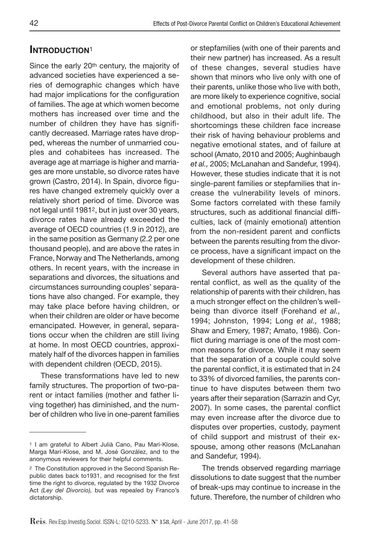## INTRODUCTION<sup>1</sup>

Since the early 20th century, the majority of advanced societies have experienced a series of demographic changes which have had major implications for the configuration of families. The age at which women become mothers has increased over time and the number of children they have has significantly decreased. Marriage rates have dropped, whereas the number of unmarried couples and cohabitees has increased. The average age at marriage is higher and marriages are more unstable, so divorce rates have grown (Castro, 2014). In Spain, divorce figures have changed extremely quickly over a relatively short period of time. Divorce was not legal until 19812, but in just over 30 years, divorce rates have already exceeded the average of OECD countries (1.9 in 2012), are in the same position as Germany (2.2 per one thousand people), and are above the rates in France, Norway and The Netherlands, among others. In recent years, with the increase in separations and divorces, the situations and circumstances surrounding couples' separations have also changed. For example, they may take place before having children, or when their children are older or have become emancipated. However, in general, separations occur when the children are still living at home. In most OECD countries, approximately half of the divorces happen in families with dependent children (OECD, 2015).

These transformations have led to new family structures. The proportion of two-parent or intact families (mother and father living together) has diminished, and the number of children who live in one-parent families or stepfamilies (with one of their parents and their new partner) has increased. As a result of these changes, several studies have shown that minors who live only with one of their parents, unlike those who live with both, are more likely to experience cognitive, social and emotional problems, not only during childhood, but also in their adult life. The shortcomings these children face increase their risk of having behaviour problems and negative emotional states, and of failure at school (Amato, 2010 and 2005; Aughinbaugh *et al.,* 2005; McLanahan and Sandefur, 1994). However, these studies indicate that it is not single-parent families or stepfamilies that increase the vulnerability levels of minors. Some factors correlated with these family structures, such as additional financial difficulties, lack of (mainly emotional) attention from the non-resident parent and conflicts between the parents resulting from the divorce process, have a significant impact on the development of these children.

Several authors have asserted that parental conflict, as well as the quality of the relationship of parents with their children, has a much stronger effect on the children's wellbeing than divorce itself (Forehand *et al.,* 1994; Johnston, 1994; Long *et al.,* 1988; Shaw and Emery, 1987; Amato, 1986). Conflict during marriage is one of the most common reasons for divorce. While it may seem that the separation of a couple could solve the parental conflict, it is estimated that in 24 to 33% of divorced families, the parents continue to have disputes between them two years after their separation (Sarrazin and Cyr, 2007). In some cases, the parental conflict may even increase after the divorce due to disputes over properties, custody, payment of child support and mistrust of their exspouse, among other reasons (McLanahan and Sandefur, 1994).

The trends observed regarding marriage dissolutions to date suggest that the number of break-ups may continue to increase in the future. Therefore, the number of children who

<sup>1</sup> I am grateful to Albert Julià Cano, Pau Marí-Klose, Marga Marí-Klose, and M. José González, and to the anonymous reviewers for their helpful comments.

<sup>2</sup> The Constitution approved in the Second Spanish Republic dates back to1931, and recognised for the first time the right to divorce, regulated by the 1932 Divorce Act *(Ley del Divorcio),* but was repealed by Franco's dictatorship.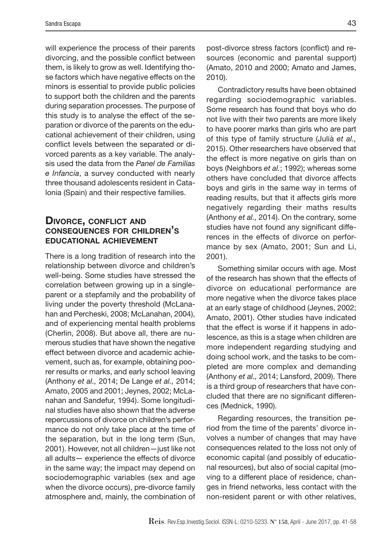will experience the process of their parents divorcing, and the possible conflict between them, is likely to grow as well. Identifying those factors which have negative effects on the minors is essential to provide public policies to support both the children and the parents during separation processes. The purpose of this study is to analyse the effect of the separation or divorce of the parents on the educational achievement of their children, using conflict levels between the separated or divorced parents as a key variable. The analysis used the data from the *Panel de Familias e Infancia*, a survey conducted with nearly three thousand adolescents resident in Catalonia (Spain) and their respective families.

#### DIVORCE, CONFLICT AND consequences for children's educational achievement

There is a long tradition of research into the relationship between divorce and children's well-being. Some studies have stressed the correlation between growing up in a singleparent or a stepfamily and the probability of living under the poverty threshold (McLanahan and Percheski, 2008; McLanahan, 2004), and of experiencing mental health problems (Cherlin, 2008). But above all, there are numerous studies that have shown the negative effect between divorce and academic achievement, such as, for example, obtaining poorer results or marks, and early school leaving (Anthony *et al.,* 2014; De Lange *et al.,* 2014; Amato, 2005 and 2001; Jeynes, 2002; McLanahan and Sandefur, 1994). Some longitudinal studies have also shown that the adverse repercussions of divorce on children's performance do not only take place at the time of the separation, but in the long term (Sun, 2001). However, not all children—just like not all adults— experience the effects of divorce in the same way; the impact may depend on sociodemographic variables (sex and age when the divorce occurs), pre-divorce family atmosphere and, mainly, the combination of

post-divorce stress factors (conflict) and resources (economic and parental support) (Amato, 2010 and 2000; Amato and James, 2010).

Contradictory results have been obtained regarding sociodemographic variables. Some research has found that boys who do not live with their two parents are more likely to have poorer marks than girls who are part of this type of family structure (Julià *et al.,* 2015). Other researchers have observed that the effect is more negative on girls than on boys (Neighbors *et al.*; 1992); whereas some others have concluded that divorce affects boys and girls in the same way in terms of reading results, but that it affects girls more negatively regarding their maths results (Anthony *et al.,* 2014). On the contrary, some studies have not found any significant differences in the effects of divorce on performance by sex (Amato, 2001; Sun and Li, 2001).

Something similar occurs with age. Most of the research has shown that the effects of divorce on educational performance are more negative when the divorce takes place at an early stage of childhood (Jeynes, 2002; Amato, 2001). Other studies have indicated that the effect is worse if it happens in adolescence, as this is a stage when children are more independent regarding studying and doing school work, and the tasks to be completed are more complex and demanding (Anthony *et al.,* 2014; Lansford, 2009). There is a third group of researchers that have concluded that there are no significant differences (Mednick, 1990).

Regarding resources, the transition period from the time of the parents' divorce involves a number of changes that may have consequences related to the loss not only of economic capital (and possibly of educational resources), but also of social capital (moving to a different place of residence, changes in friend networks, less contact with the non-resident parent or with other relatives,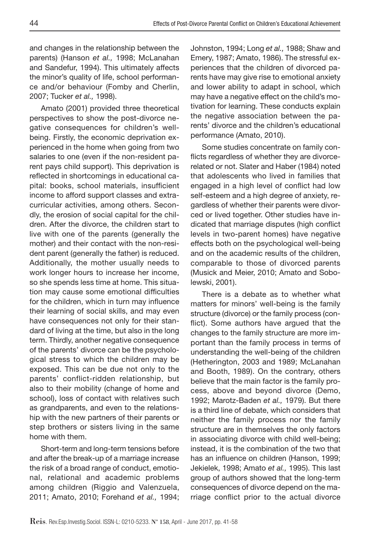and changes in the relationship between the parents) (Hanson *et al.,* 1998; McLanahan and Sandefur, 1994). This ultimately affects the minor's quality of life, school performance and/or behaviour (Fomby and Cherlin, 2007; Tucker *et al.,* 1998).

Amato (2001) provided three theoretical perspectives to show the post-divorce negative consequences for children's wellbeing. Firstly, the economic deprivation experienced in the home when going from two salaries to one (even if the non-resident parent pays child support). This deprivation is reflected in shortcomings in educational capital: books, school materials, insufficient income to afford support classes and extracurricular activities, among others. Secondly, the erosion of social capital for the children. After the divorce, the children start to live with one of the parents (generally the mother) and their contact with the non-resident parent (generally the father) is reduced. Additionally, the mother usually needs to work longer hours to increase her income, so she spends less time at home. This situation may cause some emotional difficulties for the children, which in turn may influence their learning of social skills, and may even have consequences not only for their standard of living at the time, but also in the long term. Thirdly, another negative consequence of the parents' divorce can be the psychological stress to which the children may be exposed. This can be due not only to the parents' conflict-ridden relationship, but also to their mobility (change of home and school), loss of contact with relatives such as grandparents, and even to the relationship with the new partners of their parents or step brothers or sisters living in the same home with them.

Short-term and long-term tensions before and after the break-up of a marriage increase the risk of a broad range of conduct, emotional, relational and academic problems among children (Riggio and Valenzuela, 2011; Amato, 2010; Forehand *et al.,* 1994;

Johnston, 1994; Long *et al.,* 1988; Shaw and Emery, 1987; Amato, 1986). The stressful experiences that the children of divorced parents have may give rise to emotional anxiety and lower ability to adapt in school, which may have a negative effect on the child's motivation for learning. These conducts explain the negative association between the parents' divorce and the children's educational performance (Amato, 2010).

Some studies concentrate on family conflicts regardless of whether they are divorcerelated or not. Slater and Haber (1984) noted that adolescents who lived in families that engaged in a high level of conflict had low self-esteem and a high degree of anxiety, regardless of whether their parents were divorced or lived together. Other studies have indicated that marriage disputes (high conflict levels in two-parent homes) have negative effects both on the psychological well-being and on the academic results of the children, comparable to those of divorced parents (Musick and Meier, 2010; Amato and Sobolewski, 2001).

There is a debate as to whether what matters for minors' well-being is the family structure (divorce) or the family process (conflict). Some authors have argued that the changes to the family structure are more important than the family process in terms of understanding the well-being of the children (Hetherington, 2003 and 1989; McLanahan and Booth, 1989). On the contrary, others believe that the main factor is the family process, above and beyond divorce (Demo, 1992; Marotz-Baden *et al.,* 1979). But there is a third line of debate, which considers that neither the family process nor the family structure are in themselves the only factors in associating divorce with child well-being; instead, it is the combination of the two that has an influence on children (Hanson, 1999; Jekielek, 1998; Amato *et al.,* 1995). This last group of authors showed that the long-term consequences of divorce depend on the marriage conflict prior to the actual divorce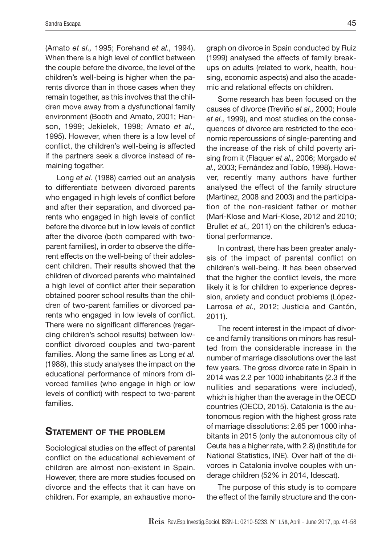(Amato *et al.,* 1995; Forehand *et al.,* 1994). When there is a high level of conflict between the couple before the divorce, the level of the children's well-being is higher when the parents divorce than in those cases when they remain together, as this involves that the children move away from a dysfunctional family environment (Booth and Amato, 2001; Hanson, 1999; Jekielek, 1998; Amato *et al.,* 1995). However, when there is a low level of conflict, the children's well-being is affected if the partners seek a divorce instead of remaining together.

Long *et al.* (1988) carried out an analysis to differentiate between divorced parents who engaged in high levels of conflict before and after their separation, and divorced parents who engaged in high levels of conflict before the divorce but in low levels of conflict after the divorce (both compared with twoparent families), in order to observe the different effects on the well-being of their adolescent children. Their results showed that the children of divorced parents who maintained a high level of conflict after their separation obtained poorer school results than the children of two-parent families or divorced parents who engaged in low levels of conflict. There were no significant differences (regarding children's school results) between lowconflict divorced couples and two-parent families. Along the same lines as Long *et al.* (1988), this study analyses the impact on the educational performance of minors from divorced families (who engage in high or low levels of conflict) with respect to two-parent families.

#### STATEMENT OF THE PROBLEM

Sociological studies on the effect of parental conflict on the educational achievement of children are almost non-existent in Spain. However, there are more studies focused on divorce and the effects that it can have on children. For example, an exhaustive monograph on divorce in Spain conducted by Ruiz (1999) analysed the effects of family breakups on adults (related to work, health, housing, economic aspects) and also the academic and relational effects on children.

Some research has been focused on the causes of divorce (Treviño *et al.,* 2000; Houle *et al.,* 1999), and most studies on the consequences of divorce are restricted to the economic repercussions of single-parenting and the increase of the risk of child poverty arising from it (Flaquer *et al.,* 2006; Morgado *et al.,* 2003; Fernández and Tobío, 1998). However, recently many authors have further analysed the effect of the family structure (Martínez, 2008 and 2003) and the participation of the non-resident father or mother (Marí-Klose and Marí-Klose, 2012 and 2010; Brullet *et al.,* 2011) on the children's educational performance.

In contrast, there has been greater analysis of the impact of parental conflict on children's well-being. It has been observed that the higher the conflict levels, the more likely it is for children to experience depression, anxiety and conduct problems (López-Larrosa *et al.,* 2012; Justicia and Cantón, 2011).

The recent interest in the impact of divorce and family transitions on minors has resulted from the considerable increase in the number of marriage dissolutions over the last few years. The gross divorce rate in Spain in 2014 was 2.2 per 1000 inhabitants (2.3 if the nullities and separations were included), which is higher than the average in the OECD countries (OECD, 2015). Catalonia is the autonomous region with the highest gross rate of marriage dissolutions: 2.65 per 1000 inhabitants in 2015 (only the autonomous city of Ceuta has a higher rate, with 2.8) (Institute for National Statistics, INE). Over half of the divorces in Catalonia involve couples with underage children (52% in 2014, Idescat).

The purpose of this study is to compare the effect of the family structure and the con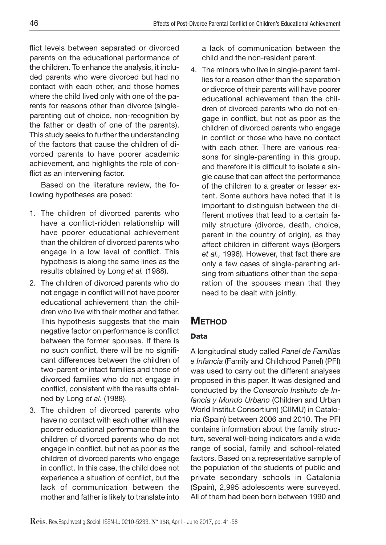flict levels between separated or divorced parents on the educational performance of the children. To enhance the analysis, it included parents who were divorced but had no contact with each other, and those homes where the child lived only with one of the parents for reasons other than divorce (singleparenting out of choice, non-recognition by the father or death of one of the parents). This study seeks to further the understanding of the factors that cause the children of divorced parents to have poorer academic achievement, and highlights the role of conflict as an intervening factor.

Based on the literature review, the following hypotheses are posed:

- 1. The children of divorced parents who have a conflict-ridden relationship will have poorer educational achievement than the children of divorced parents who engage in a low level of conflict. This hypothesis is along the same lines as the results obtained by Long *et al.* (1988).
- 2. The children of divorced parents who do not engage in conflict will not have poorer educational achievement than the children who live with their mother and father. This hypothesis suggests that the main negative factor on performance is conflict between the former spouses. If there is no such conflict, there will be no significant differences between the children of two-parent or intact families and those of divorced families who do not engage in conflict, consistent with the results obtained by Long *et al.* (1988).
- 3. The children of divorced parents who have no contact with each other will have poorer educational performance than the children of divorced parents who do not engage in conflict, but not as poor as the children of divorced parents who engage in conflict. In this case, the child does not experience a situation of conflict, but the lack of communication between the mother and father is likely to translate into

a lack of communication between the child and the non-resident parent.

4. The minors who live in single-parent families for a reason other than the separation or divorce of their parents will have poorer educational achievement than the children of divorced parents who do not engage in conflict, but not as poor as the children of divorced parents who engage in conflict or those who have no contact with each other. There are various reasons for single-parenting in this group, and therefore it is difficult to isolate a single cause that can affect the performance of the children to a greater or lesser extent. Some authors have noted that it is important to distinguish between the different motives that lead to a certain family structure (divorce, death, choice, parent in the country of origin), as they affect children in different ways (Borgers *et al.,* 1996). However, that fact there are only a few cases of single-parenting arising from situations other than the separation of the spouses mean that they need to be dealt with jointly.

# **METHOD**

## Data

A longitudinal study called *Panel de Familias e Infancia* (Family and Childhood Panel) (PFI) was used to carry out the different analyses proposed in this paper. It was designed and conducted by the *Consorcio Instituto de Infancia y Mundo Urbano* (Children and Urban World Institut Consortium) (CIIMU) in Catalonia (Spain) between 2006 and 2010. The PFI contains information about the family structure, several well-being indicators and a wide range of social, family and school-related factors. Based on a representative sample of the population of the students of public and private secondary schools in Catalonia (Spain), 2,995 adolescents were surveyed. All of them had been born between 1990 and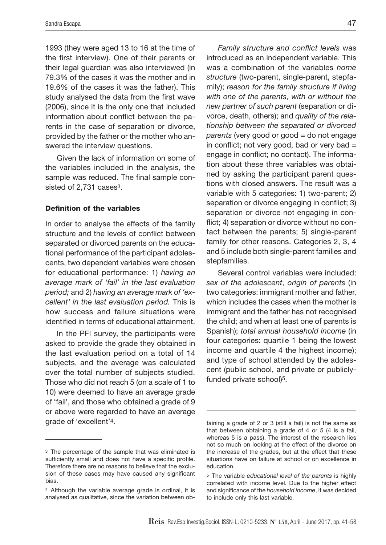1993 (they were aged 13 to 16 at the time of the first interview). One of their parents or their legal guardian was also interviewed (in 79.3% of the cases it was the mother and in 19.6% of the cases it was the father). This study analysed the data from the first wave (2006), since it is the only one that included information about conflict between the parents in the case of separation or divorce, provided by the father or the mother who answered the interview questions.

Given the lack of information on some of the variables included in the analysis, the sample was reduced. The final sample consisted of 2,731 cases<sup>3</sup>.

#### Definition of the variables

In order to analyse the effects of the family structure and the levels of conflict between separated or divorced parents on the educational performance of the participant adolescents, two dependent variables were chosen for educational performance: 1) *having an average mark of 'fail' in the last evaluation period;* and 2) *having an average mark of 'excellent' in the last evaluation period.* This is how success and failure situations were identified in terms of educational attainment.

In the PFI survey, the participants were asked to provide the grade they obtained in the last evaluation period on a total of 14 subjects, and the average was calculated over the total number of subjects studied. Those who did not reach 5 (on a scale of 1 to 10) were deemed to have an average grade of 'fail', and those who obtained a grade of 9 or above were regarded to have an average grade of 'excellent'4.

*Family structure and conflict levels* was introduced as an independent variable. This was a combination of the variables *home structure* (two-parent, single-parent, stepfamily); *reason for the family structure if living with one of the parents, with or without the new partner of such parent* (separation or divorce, death, others); and *quality of the relationship between the separated or divorced parents* (very good or good = do not engage in conflict; not very good, bad or very bad  $=$ engage in conflict; no contact). The information about these three variables was obtained by asking the participant parent questions with closed answers. The result was a variable with 5 categories: 1) two-parent; 2) separation or divorce engaging in conflict; 3) separation or divorce not engaging in conflict; 4) separation or divorce without no contact between the parents; 5) single-parent family for other reasons. Categories 2, 3, 4 and 5 include both single-parent families and stepfamilies.

Several control variables were included: *sex of the adolescent*, *origin of parents* (in two categories: immigrant mother and father, which includes the cases when the mother is immigrant and the father has not recognised the child; and when at least one of parents is Spanish); *total annual household income* (in four categories: quartile 1 being the lowest income and quartile 4 the highest income); and type of school attended by the adolescent (public school, and private or publiclyfunded private school)5.

<sup>3</sup> The percentage of the sample that was eliminated is sufficiently small and does not have a specific profile. Therefore there are no reasons to believe that the exclusion of these cases may have caused any significant bias.

<sup>4</sup> Although the variable average grade is ordinal, it is analysed as qualitative, since the variation between ob-

taining a grade of 2 or 3 (still a fail) is not the same as that between obtaining a grade of 4 or 5 (4 is a fail, whereas 5 is a pass). The interest of the research lies not so much on looking at the effect of the divorce on the increase of the grades, but at the effect that these situations have on failure at school or on excellence in education.

<sup>5</sup> The variable *educational level of the parents* is highly correlated with income level. Due to the higher effect and significance of the *household income*, it was decided to include only this last variable.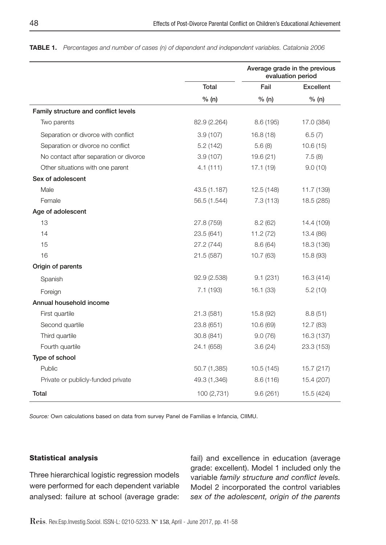|                                        |              |            | Average grade in the previous<br>evaluation period |  |  |
|----------------------------------------|--------------|------------|----------------------------------------------------|--|--|
|                                        | <b>Total</b> | Fail       | Excellent                                          |  |  |
|                                        | % (n)        | % (n)      | % (n)                                              |  |  |
| Family structure and conflict levels   |              |            |                                                    |  |  |
| Two parents                            | 82.9 (2.264) | 8.6 (195)  | 17.0 (384)                                         |  |  |
| Separation or divorce with conflict    | 3.9(107)     | 16.8(18)   | 6.5(7)                                             |  |  |
| Separation or divorce no conflict      | 5.2(142)     | 5.6(8)     | 10.6(15)                                           |  |  |
| No contact after separation or divorce | 3.9(107)     | 19.6(21)   | 7.5(8)                                             |  |  |
| Other situations with one parent       | 4.1(111)     | 17.1(19)   | 9.0(10)                                            |  |  |
| Sex of adolescent                      |              |            |                                                    |  |  |
| Male                                   | 43.5 (1.187) | 12.5 (148) | 11.7 (139)                                         |  |  |
| Female                                 | 56.5 (1.544) | 7.3(113)   | 18.5 (285)                                         |  |  |
| Age of adolescent                      |              |            |                                                    |  |  |
| 13                                     | 27.8 (759)   | 8.2(62)    | 14.4 (109)                                         |  |  |
| 14                                     | 23.5 (641)   | 11.2(72)   | 13.4 (86)                                          |  |  |
| 15                                     | 27.2 (744)   | 8.6(64)    | 18.3 (136)                                         |  |  |
| 16                                     | 21.5(587)    | 10.7(63)   | 15.8 (93)                                          |  |  |
| Origin of parents                      |              |            |                                                    |  |  |
| Spanish                                | 92.9 (2.538) | 9.1(231)   | 16.3 (414)                                         |  |  |
| Foreign                                | 7.1(193)     | 16.1(33)   | 5.2(10)                                            |  |  |
| Annual household income                |              |            |                                                    |  |  |
| First quartile                         | 21.3(581)    | 15.8 (92)  | 8.8(51)                                            |  |  |
| Second quartile                        | 23.8 (651)   | 10.6(69)   | 12.7(83)                                           |  |  |
| Third quartile                         | 30.8 (841)   | 9.0(76)    | 16.3 (137)                                         |  |  |
| Fourth quartile                        | 24.1 (658)   | 3.6(24)    | 23.3 (153)                                         |  |  |
| Type of school                         |              |            |                                                    |  |  |
| Public                                 | 50.7 (1,385) | 10.5(145)  | 15.7 (217)                                         |  |  |
| Private or publicly-funded private     | 49.3 (1,346) | 8.6(116)   | 15.4 (207)                                         |  |  |
| Total                                  | 100 (2,731)  | 9.6(261)   | 15.5 (424)                                         |  |  |

TablE 1. *Percentages and number of cases (n) of dependent and independent variables. Catalonia 2006*

*Source:* Own calculations based on data from survey Panel de Familias e Infancia, CIIMU.

#### Statistical analysis

Three hierarchical logistic regression models were performed for each dependent variable analysed: failure at school (average grade: fail) and excellence in education (average grade: excellent). Model 1 included only the variable *family structure and conflict levels.*  Model 2 incorporated the control variables *sex of the adolescent, origin of the parents*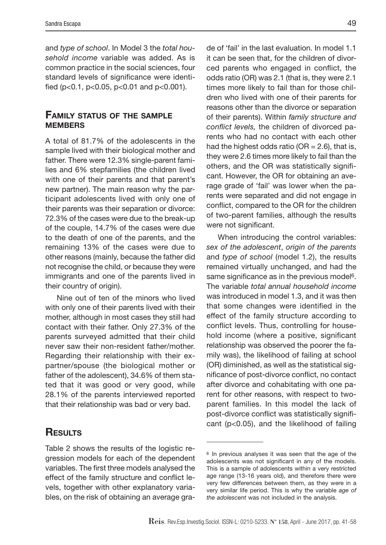and *type of school*. In Model 3 the *total household income* variable was added. As is common practice in the social sciences, four standard levels of significance were identified (p<0.1, p<0.05, p<0.01 and p<0.001).

#### FAMILY STATUS OF THE SAMPLE **MEMBERS**

A total of 81.7% of the adolescents in the sample lived with their biological mother and father. There were 12.3% single-parent families and 6% stepfamilies (the children lived with one of their parents and that parent's new partner). The main reason why the participant adolescents lived with only one of their parents was their separation or divorce: 72.3% of the cases were due to the break-up of the couple, 14.7% of the cases were due to the death of one of the parents, and the remaining 13% of the cases were due to other reasons (mainly, because the father did not recognise the child, or because they were immigrants and one of the parents lived in their country of origin).

Nine out of ten of the minors who lived with only one of their parents lived with their mother, although in most cases they still had contact with their father. Only 27.3% of the parents surveyed admitted that their child never saw their non-resident father/mother. Regarding their relationship with their expartner/spouse (the biological mother or father of the adolescent), 34.6% of them stated that it was good or very good, while 28.1% of the parents interviewed reported that their relationship was bad or very bad.

# **RESULTS**

Table 2 shows the results of the logistic regression models for each of the dependent variables. The first three models analysed the effect of the family structure and conflict levels, together with other explanatory variables, on the risk of obtaining an average grade of 'fail' in the last evaluation. In model 1.1 it can be seen that, for the children of divorced parents who engaged in conflict, the odds ratio (OR) was 2.1 (that is, they were 2.1 times more likely to fail than for those children who lived with one of their parents for reasons other than the divorce or separation of their parents). Within *family structure and conflict levels,* the children of divorced parents who had no contact with each other had the highest odds ratio ( $OR = 2.6$ ), that is, they were 2.6 times more likely to fail than the others, and the OR was statistically significant. However, the OR for obtaining an average grade of 'fail' was lower when the parents were separated and did not engage in conflict, compared to the OR for the children of two-parent families, although the results were not significant.

When introducing the control variables: *sex of the adolescent*, *origin of the parents* and *type of school* (model 1.2), the results remained virtually unchanged, and had the same significance as in the previous model6. The variable *total annual household income* was introduced in model 1.3, and it was then that some changes were identified in the effect of the family structure according to conflict levels. Thus, controlling for household income (where a positive, significant relationship was observed the poorer the family was), the likelihood of failing at school (OR) diminished, as well as the statistical significance of post-divorce conflict, no contact after divorce and cohabitating with one parent for other reasons, with respect to twoparent families. In this model the lack of post-divorce conflict was statistically significant (p<0.05), and the likelihood of failing

<sup>6</sup> In previous analyses it was seen that the age of the adolescents was not significant in any of the models. This is a sample of adolescents within a very restricted age range (13-16 years old), and therefore there were very few differences between them, as they were in a very similar life period. This is why the variable *age of the adolescent* was not included in the analysis.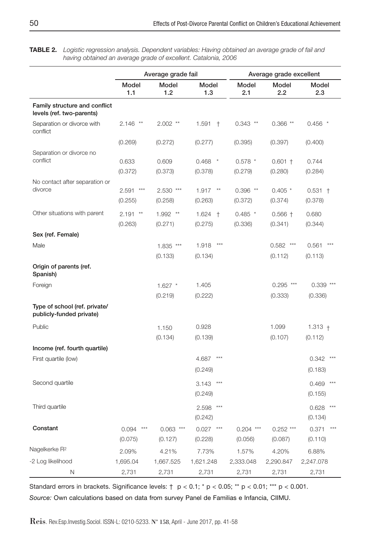TablE 2. *Logistic regression analysis. Dependent variables: Having obtained an average grade of fail and having obtained an average grade of excellent. Catalonia, 2006*

|                                                            | Average grade fail        |                        |                           | Average grade excellent |                        |                           |  |
|------------------------------------------------------------|---------------------------|------------------------|---------------------------|-------------------------|------------------------|---------------------------|--|
|                                                            | Model<br>1.1              | Model<br>1.2           | Model<br>1.3              | Model<br>2.1            | Model<br>2.2           | Model<br>2.3              |  |
| Family structure and conflict<br>levels (ref. two-parents) |                           |                        |                           |                         |                        |                           |  |
| Separation or divorce with<br>conflict                     | $2.146$ **                | $2.002$ **             | 1.591<br>$+$              | $0.343$ **              | $0.366**$              | $0.456$ *                 |  |
|                                                            | (0.269)                   | (0.272)                | (0.277)                   | (0.395)                 | (0.397)                | (0.400)                   |  |
| Separation or divorce no<br>conflict                       | 0.633                     | 0.609                  | $0.468$ *                 | $0.578$ *               | $0.601 +$              | 0.744                     |  |
|                                                            | (0.372)                   | (0.373)                | (0.378)                   | (0.279)                 | (0.280)                | (0.284)                   |  |
| No contact after separation or                             |                           |                        |                           |                         |                        |                           |  |
| divorce                                                    | 2.591<br>$***$<br>(0.255) | 2.530 ***              | 1.917<br>$^{\star\star}$  | $0.396$ **              | $0.405*$               | $0.531 +$                 |  |
|                                                            |                           | (0.258)                | (0.263)                   | (0.372)                 | (0.374)                | (0.378)                   |  |
| Other situations with parent                               | $2.191$ **<br>(0.263)     | $1.992$ **<br>(0.271)  | 1.624<br>$+$<br>(0.275)   | $0.485$ *<br>(0.336)    | $0.566 +$<br>(0.341)   | 0.680<br>(0.344)          |  |
| Sex (ref. Female)                                          |                           |                        |                           |                         |                        |                           |  |
| Male                                                       |                           | 1.835 ***              | $***$<br>1.918            |                         | 0.582<br>$***$         | $***$<br>0.561            |  |
|                                                            |                           | (0.133)                | (0.134)                   |                         | (0.112)                | (0.113)                   |  |
| Origin of parents (ref.<br>Spanish)                        |                           |                        |                           |                         |                        |                           |  |
| Foreign                                                    |                           | $1.627$ *              | 1.405                     |                         | $0.295$ ***            | $0.339***$                |  |
|                                                            |                           | (0.219)                | (0.222)                   |                         | (0.333)                | (0.336)                   |  |
| Type of school (ref. private/<br>publicly-funded private)  |                           |                        |                           |                         |                        |                           |  |
| Public                                                     |                           | 1.150                  | 0.928                     |                         | 1.099                  | $1.313 +$                 |  |
|                                                            |                           | (0.134)                | (0.139)                   |                         | (0.107)                | (0.112)                   |  |
| Income (ref. fourth quartile)                              |                           |                        |                           |                         |                        |                           |  |
| First quartile (low)                                       |                           |                        | $***$<br>4.687            |                         |                        | 0.342<br>***              |  |
|                                                            |                           |                        | (0.249)                   |                         |                        | (0.183)                   |  |
| Second quartile                                            |                           |                        | $***$<br>3.143<br>(0.249) |                         |                        | 0.469<br>$***$<br>(0.155) |  |
| Third quartile                                             |                           |                        | $***$<br>2.598<br>(0.242) |                         |                        | $***$<br>0.628<br>(0.134) |  |
| Constant                                                   | 0.094<br>$***$<br>(0.075) | $0.063$ ***<br>(0.127) | 0.027<br>$***$<br>(0.228) | $0.204$ ***<br>(0.056)  | $0.252$ ***<br>(0.087) | 0.371<br>$***$<br>(0.110) |  |
| Nagelkerke R <sup>2</sup>                                  | 2.09%                     | 4.21%                  | 7.73%                     | 1.57%                   | 4.20%                  | 6.88%                     |  |
| -2 Log likelihood                                          | 1,695.04                  | 1,667.525              | 1,621.248                 | 2,333.048               | 2,290.847              | 2,247.078                 |  |
| N                                                          | 2,731                     | 2,731                  | 2,731                     | 2,731                   | 2,731                  | 2,731                     |  |

Standard errors in brackets. Significance levels:  $\uparrow$  p < 0.1; \* p < 0.05; \*\* p < 0.01; \*\*\* p < 0.001. *Source:* Own calculations based on data from survey Panel de Familias e Infancia, CIIMU.

Reis. Rev.Esp.Investig.Sociol. ISSN-L: 0210-5233. Nº 158, April - June 2017, pp. 41-58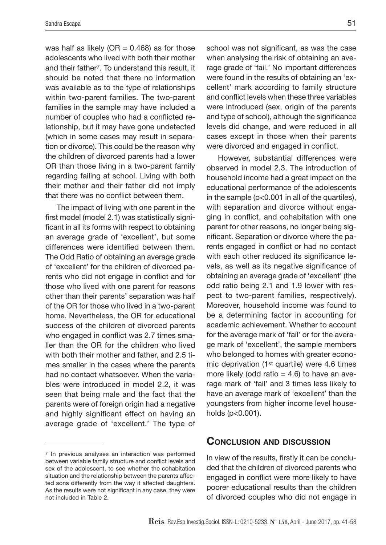was half as likely ( $OR = 0.468$ ) as for those adolescents who lived with both their mother and their father7. To understand this result, it should be noted that there no information was available as to the type of relationships within two-parent families. The two-parent families in the sample may have included a number of couples who had a conflicted relationship, but it may have gone undetected (which in some cases may result in separation or divorce). This could be the reason why the children of divorced parents had a lower OR than those living in a two-parent family regarding failing at school. Living with both their mother and their father did not imply that there was no conflict between them.

The impact of living with one parent in the first model (model 2.1) was statistically significant in all its forms with respect to obtaining an average grade of 'excellent', but some differences were identified between them. The Odd Ratio of obtaining an average grade of 'excellent' for the children of divorced parents who did not engage in conflict and for those who lived with one parent for reasons other than their parents' separation was half of the OR for those who lived in a two-parent home. Nevertheless, the OR for educational success of the children of divorced parents who engaged in conflict was 2.7 times smaller than the OR for the children who lived with both their mother and father, and 2.5 times smaller in the cases where the parents had no contact whatsoever. When the variables were introduced in model 2.2, it was seen that being male and the fact that the parents were of foreign origin had a negative and highly significant effect on having an average grade of 'excellent.' The type of

school was not significant, as was the case when analysing the risk of obtaining an average grade of 'fail.' No important differences were found in the results of obtaining an 'excellent' mark according to family structure and conflict levels when these three variables were introduced (sex, origin of the parents and type of school), although the significance levels did change, and were reduced in all cases except in those when their parents were divorced and engaged in conflict.

However, substantial differences were observed in model 2.3. The introduction of household income had a great impact on the educational performance of the adolescents in the sample (p<0.001 in all of the quartiles), with separation and divorce without engaging in conflict, and cohabitation with one parent for other reasons, no longer being significant. Separation or divorce where the parents engaged in conflict or had no contact with each other reduced its significance levels, as well as its negative significance of obtaining an average grade of 'excellent' (the odd ratio being 2.1 and 1.9 lower with respect to two-parent families, respectively). Moreover, household income was found to be a determining factor in accounting for academic achievement. Whether to account for the average mark of 'fail' or for the average mark of 'excellent', the sample members who belonged to homes with greater economic deprivation (1st quartile) were 4.6 times more likely (odd ratio  $= 4.6$ ) to have an average mark of 'fail' and 3 times less likely to have an average mark of 'excellent' than the youngsters from higher income level households (p<0.001).

#### Conclusion and discussion

In view of the results, firstly it can be concluded that the children of divorced parents who engaged in conflict were more likely to have poorer educational results than the children of divorced couples who did not engage in

<sup>7</sup> In previous analyses an interaction was performed between variable family structure and conflict levels and sex of the adolescent, to see whether the cohabitation situation and the relationship between the parents affected sons differently from the way it affected daughters. As the results were not significant in any case, they were not included in Table 2.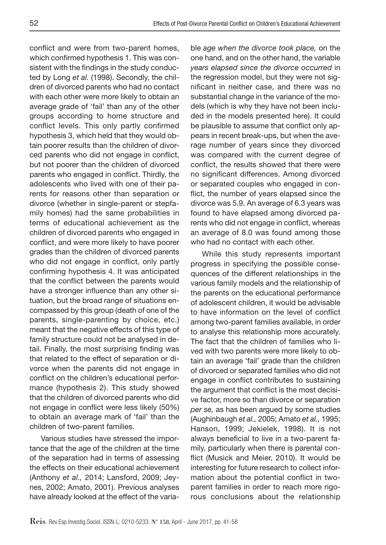conflict and were from two-parent homes, which confirmed hypothesis 1. This was consistent with the findings in the study conducted by Long *et al.* (1998). Secondly, the children of divorced parents who had no contact with each other were more likely to obtain an average grade of 'fail' than any of the other groups according to home structure and conflict levels. This only partly confirmed hypothesis 3, which held that they would obtain poorer results than the children of divorced parents who did not engage in conflict, but not poorer than the children of divorced parents who engaged in conflict. Thirdly, the adolescents who lived with one of their parents for reasons other than separation or divorce (whether in single-parent or stepfamily homes) had the same probabilities in terms of educational achievement as the children of divorced parents who engaged in conflict, and were more likely to have poorer grades than the children of divorced parents who did not engage in conflict, only partly confirming hypothesis 4. It was anticipated that the conflict between the parents would have a stronger influence than any other situation, but the broad range of situations encompassed by this group (death of one of the parents, single-parenting by choice, etc.) meant that the negative effects of this type of family structure could not be analysed in detail. Finally, the most surprising finding was that related to the effect of separation or divorce when the parents did not engage in conflict on the children's educational performance (hypothesis 2). This study showed that the children of divorced parents who did not engage in conflict were less likely (50%) to obtain an average mark of 'fail' than the children of two-parent families.

Various studies have stressed the importance that the age of the children at the time of the separation had in terms of assessing the effects on their educational achievement (Anthony *et al.,* 2014; Lansford, 2009; Jeynes, 2002; Amato, 2001). Previous analyses have already looked at the effect of the variable *age when the divorce took place,* on the one hand, and on the other hand, the variable *years elapsed since the divorce occurred* in the regression model, but they were not significant in neither case, and there was no substantial change in the variance of the models (which is why they have not been included in the models presented here). It could be plausible to assume that conflict only appears in recent break-ups, but when the average number of years since they divorced was compared with the current degree of conflict, the results showed that there were no significant differences. Among divorced or separated couples who engaged in conflict, the number of years elapsed since the divorce was 5.9. An average of 6.3 years was found to have elapsed among divorced parents who did not engage in conflict, whereas an average of 8.0 was found among those who had no contact with each other.

While this study represents important progress in specifying the possible consequences of the different relationships in the various family models and the relationship of the parents on the educational performance of adolescent children, it would be advisable to have information on the level of conflict among two-parent families available, in order to analyse this relationship more accurately. The fact that the children of families who lived with two parents were more likely to obtain an average 'fail' grade than the children of divorced or separated families who did not engage in conflict contributes to sustaining the argument that conflict is the most decisive factor, more so than divorce or separation *per se,* as has been argued by some studies (Aughinbaugh *et al.,* 2005; Amato *et al.,* 1995; Hanson, 1999; Jekielek, 1998). It is not always beneficial to live in a two-parent family, particularly when there is parental conflict (Musick and Meier, 2010). It would be interesting for future research to collect information about the potential conflict in twoparent families in order to reach more rigorous conclusions about the relationship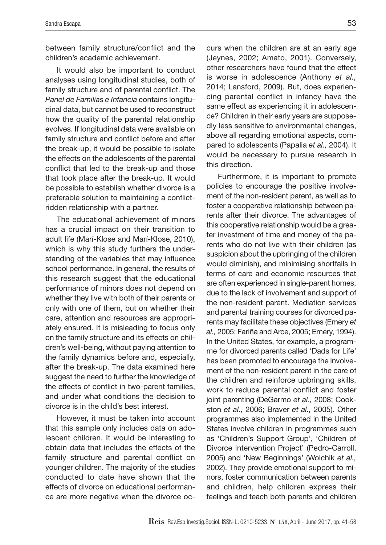between family structure/conflict and the children's academic achievement.

It would also be important to conduct analyses using longitudinal studies, both of family structure and of parental conflict. The *Panel de Familias e Infancia* contains longitudinal data, but cannot be used to reconstruct how the quality of the parental relationship evolves. If longitudinal data were available on family structure and conflict before and after the break-up, it would be possible to isolate the effects on the adolescents of the parental conflict that led to the break-up and those that took place after the break-up. It would be possible to establish whether divorce is a preferable solution to maintaining a conflictridden relationship with a partner.

The educational achievement of minors has a crucial impact on their transition to adult life (Marí-Klose and Marí-Klose, 2010), which is why this study furthers the understanding of the variables that may influence school performance. In general, the results of this research suggest that the educational performance of minors does not depend on whether they live with both of their parents or only with one of them, but on whether their care, attention and resources are appropriately ensured. It is misleading to focus only on the family structure and its effects on children's well-being, without paying attention to the family dynamics before and, especially, after the break-up. The data examined here suggest the need to further the knowledge of the effects of conflict in two-parent families, and under what conditions the decision to divorce is in the child's best interest.

However, it must be taken into account that this sample only includes data on adolescent children. It would be interesting to obtain data that includes the effects of the family structure and parental conflict on younger children. The majority of the studies conducted to date have shown that the effects of divorce on educational performance are more negative when the divorce oc-

curs when the children are at an early age (Jeynes, 2002; Amato, 2001). Conversely, other researchers have found that the effect is worse in adolescence (Anthony *et al.,* 2014; Lansford, 2009). But, does experiencing parental conflict in infancy have the same effect as experiencing it in adolescence? Children in their early years are supposedly less sensitive to environmental changes, above all regarding emotional aspects, compared to adolescents (Papalia *et al.,* 2004). It would be necessary to pursue research in this direction.

Furthermore, it is important to promote policies to encourage the positive involvement of the non-resident parent, as well as to foster a cooperative relationship between parents after their divorce. The advantages of this cooperative relationship would be a greater investment of time and money of the parents who do not live with their children (as suspicion about the upbringing of the children would diminish), and minimising shortfalls in terms of care and economic resources that are often experienced in single-parent homes, due to the lack of involvement and support of the non-resident parent. Mediation services and parental training courses for divorced parents may facilitate these objectives (Emery *et al.,* 2005; Fariña and Arce, 2005; Emery, 1994). In the United States, for example, a programme for divorced parents called 'Dads for Life' has been promoted to encourage the involvement of the non-resident parent in the care of the children and reinforce upbringing skills, work to reduce parental conflict and foster joint parenting (DeGarmo *et al.,* 2008; Cookston *et al.,* 2006; Braver *et al.,* 2005). Other programmes also implemented in the United States involve children in programmes such as 'Children's Support Group', 'Children of Divorce Intervention Project' (Pedro-Carroll, 2005) and 'New Beginnings' (Wolchik *et al.,* 2002). They provide emotional support to minors, foster communication between parents and children, help children express their feelings and teach both parents and children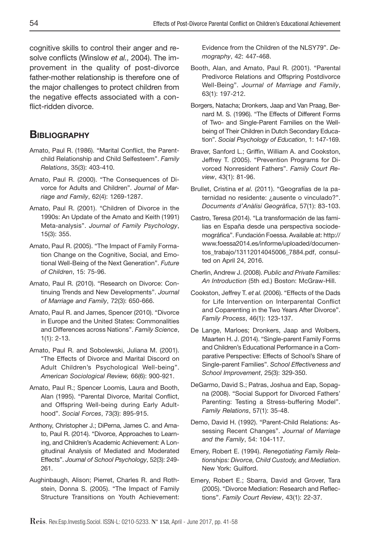cognitive skills to control their anger and resolve conflicts (Winslow *et al.,* 2004). The improvement in the quality of post-divorce father-mother relationship is therefore one of the major challenges to protect children from the negative effects associated with a conflict-ridden divorce.

# **BIBLIOGRAPHY**

- Amato, Paul R. (1986). "Marital Conflict, the Parentchild Relationship and Child Selfesteem". *Family Relations*, 35(3): 403-410.
- Amato, Paul R. (2000). "The Consequences of Divorce for Adults and Children". *Journal of Marriage and Family*, 62(4): 1269-1287.
- Amato, Paul R. (2001). "Children of Divorce in the 1990s: An Update of the Amato and Keith (1991) Meta-analysis". *Journal of Family Psychology*, 15(3): 355.
- Amato, Paul R. (2005). "The Impact of Family Formation Change on the Cognitive, Social, and Emotional Well-Being of the Next Generation". *Future of Children*, 15: 75-96.
- Amato, Paul R. (2010). "Research on Divorce: Continuing Trends and New Developments". *Journal of Marriage and Family*, 72(3): 650-666.
- Amato, Paul R. and James, Spencer (2010). "Divorce in Europe and the United States: Commonalities and Differences across Nations". *Family Science*, 1(1): 2-13.
- Amato, Paul R. and Sobolewski, Juliana M. (2001). "The Effects of Divorce and Marital Discord on Adult Children's Psychological Well-being". *American Sociological Review,* 66(6): 900-921.
- Amato, Paul R.; Spencer Loomis, Laura and Booth, Alan (1995). "Parental Divorce, Marital Conflict, and Offspring Well-being during Early Adulthood". *Social Forces*, 73(3): 895-915.
- Anthony, Christopher J.; DiPerna, James C. and Amato, Paul R. (2014). "Divorce, Approaches to Learning, and Children's Academic Achievement: A Longitudinal Analysis of Mediated and Moderated Effects". *Journal of School Psychology*, 52(3): 249- 261.
- Aughinbaugh, Alison; Pierret, Charles R. and Rothstein, Donna S. (2005). "The Impact of Family Structure Transitions on Youth Achievement:

Evidence from the Children of the NLSY79". *Demography*, 42: 447-468.

- Booth, Alan, and Amato, Paul R. (2001). "Parental Predivorce Relations and Offspring Postdivorce Well‐Being". *Journal of Marriage and Family*, 63(1): 197-212.
- Borgers, Natacha; Dronkers, Jaap and Van Praag, Bernard M. S. (1996). "The Effects of Different Forms of Two- and Single-Parent Families on the Wellbeing of Their Children in Dutch Secondary Education". *Social Psychology of Education*, 1: 147-169.
- Braver, Sanford L.; Griffin, William A. and Cookston, Jeffrey T. (2005). "Prevention Programs for Divorced Nonresident Fathers". *Family Court Review*, 43(1): 81-96.
- Brullet, Cristina *et al.* (2011). "Geografías de la paternidad no residente: ¿ausente o vinculado?". *Documents d'Anàlisi Geogràfica*, 57(1): 83-103.
- Castro, Teresa (2014). "La transformación de las familias en España desde una perspectiva sociodemográfica". Fundación Foessa. Available at: http:// www.foessa2014.es/informe/uploaded/documentos\_trabajo/13112014045006\_7884.pdf, consulted on April 24, 2016.
- Cherlin, Andrew J. (2008). *Public and Private Families: An Introduction* (5th ed.) Boston: McGraw-Hill.
- Cookston, Jeffrey T. *et al.* (2006). "Effects of the Dads for Life Intervention on Interparental Conflict and Coparenting in the Two Years After Divorce". *Family Process*, 46(1): 123-137.
- De Lange, Marloes; Dronkers, Jaap and Wolbers, Maarten H. J. (2014). "Single-parent Family Forms and Children's Educational Performance in a Comparative Perspective: Effects of School's Share of Single-parent Families". *School Effectiveness and School Improvement*, 25(3): 329-350.
- DeGarmo, David S.; Patras, Joshua and Eap, Sopagna (2008). "Social Support for Divorced Fathers' Parenting: Testing a Stress-buffering Model". *Family Relations*, 57(1): 35-48.
- Demo, David H. (1992). "Parent-Child Relations: Assessing Recent Changes". *Journal of Marriage and the Family*, 54: 104-117.
- Emery, Robert E. (1994). *Renegotiating Family Relationships: Divorce, Child Custody, and Mediation*. New York: Guilford.
- Emery, Robert E.; Sbarra, David and Grover, Tara (2005). "Divorce Mediation: Research and Reflections". *Family Court Review*, 43(1): 22-37.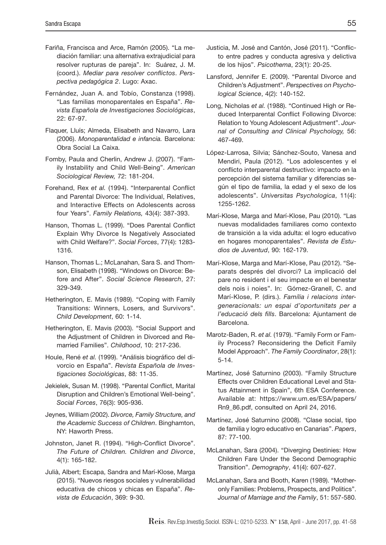- Fariña, Francisca and Arce, Ramón (2005). "La mediación familiar: una alternativa extrajudicial para resolver rupturas de pareja". In: Suárez, J. M. (coord.). *Mediar para resolver conflictos*. *Perspectiva pedagógica 2*. Lugo: Axac.
- Fernández, Juan A. and Tobío, Constanza (1998). "Las familias monoparentales en España". *Revista Española de Investigaciones Sociológicas*, 22: 67-97.
- Flaquer, Lluís; Almeda, Elisabeth and Navarro, Lara (2006). *Monoparentalidad e infancia.* Barcelona: Obra Social La Caixa.
- Fomby, Paula and Cherlin, Andrew J. (2007). "Family Instability and Child Well-Being". *American Sociological Review,* 72: 181-204.
- Forehand, Rex *et al.* (1994). "Interparental Conflict and Parental Divorce: The Individual, Relatives, and Interactive Effects on Adolescents across four Years". *Family Relations,* 43(4): 387-393.
- Hanson, Thomas L. (1999). "Does Parental Conflict Explain Why Divorce Is Negatively Associated with Child Welfare?". *Social Forces*, 77(4): 1283- 1316.
- Hanson, Thomas L.; McLanahan, Sara S. and Thomson, Elisabeth (1998). "Windows on Divorce: Before and After". *Social Science Research*, 27: 329-349.
- Hetherington, E. Mavis (1989). "Coping with Family Transitions: Winners, Losers, and Survivors". *Child Development*, 60: 1-14.
- Hetherington, E. Mavis (2003). "Social Support and the Adjustment of Children in Divorced and Remarried Families". *Childhood*, 10: 217-236.
- Houle, René *et al.* (1999). "Análisis biográfico del divorcio en España". *Revista Española de Investigaciones Sociológicas*, 88: 11-35.
- Jekielek, Susan M. (1998). "Parental Conflict, Marital Disruption and Children's Emotional Well-being". *Social Forces*, 76(3): 905-936.
- Jeynes, William (2002). *Divorce, Family Structure, and the Academic Success of Children*. Binghamton, NY: Haworth Press.
- Johnston, Janet R. (1994). "High-Conflict Divorce". *The Future of Children. Children and Divorce*, 4(1): 165-182.
- Julià, Albert; Escapa, Sandra and Marí-Klose, Marga (2015). "Nuevos riesgos sociales y vulnerabilidad educativa de chicos y chicas en España". *Revista de Educación*, 369: 9-30.
- Justicia, M. José and Cantón, José (2011). "Conflicto entre padres y conducta agresiva y delictiva de los hijos". *Psicothema*, 23(1): 20-25.
- Lansford, Jennifer E. (2009). "Parental Divorce and Children's Adjustment". *Perspectives on Psychological Science*, 4(2): 140-152.
- Long, Nicholas *et al.* (1988). "Continued High or Reduced Interparental Conflict Following Divorce: Relation to Young Adolescent Adjustment". *Journal of Consulting and Clinical Psychology,* 56: 467-469.
- López-Larrosa, Silvia; Sánchez-Souto, Vanesa and Mendiri, Paula (2012). "Los adolescentes y el conflicto interparental destructivo: impacto en la percepción del sistema familiar y diferencias según el tipo de familia, la edad y el sexo de los adolescents". *Universitas Psychologica*, 11(4): 1255-1262.
- Marí-Klose, Marga and Marí-Klose, Pau (2010). "Las nuevas modalidades familiares como contexto de transición a la vida adulta: el logro educativo en hogares monoparentales". *Revista de Estudios de Juventud*, 90: 162-179.
- Marí-Klose, Marga and Marí-Klose, Pau (2012). "Separats després del divorci? La implicació del pare no resident i el seu impacte en el benestar dels nois i noies". In: Gómez-Granell, C. and Marí-Klose, P. (dirs.). *Família i relacions intergeneracionals: un espai d'oportunitats per a l'educació dels fills*. Barcelona: Ajuntament de Barcelona.
- Marotz-Baden, R. *et al.* (1979). "Family Form or Family Process? Reconsidering the Deficit Family Model Approach". *The Family Coordinator*, 28(1): 5-14.
- Martínez, José Saturnino (2003). "Family Structure Effects over Children Educational Level and Status Attainment in Spain", 6th ESA Conference. Available at: https://www.um.es/ESA/papers/ Rn9\_86.pdf, consulted on April 24, 2016.
- Martínez, José Saturnino (2008). "Clase social, tipo de familia y logro educativo en Canarias". *Papers*, 87: 77-100.
- McLanahan, Sara (2004). "Diverging Destinies: How Children Fare Under the Second Demographic Transition". *Demography*, 41(4): 607-627.
- McLanahan, Sara and Booth, Karen (1989). "Motheronly Families: Problems, Prospects, and Politics". *Journal of Marriage and the Family*, 51: 557-580.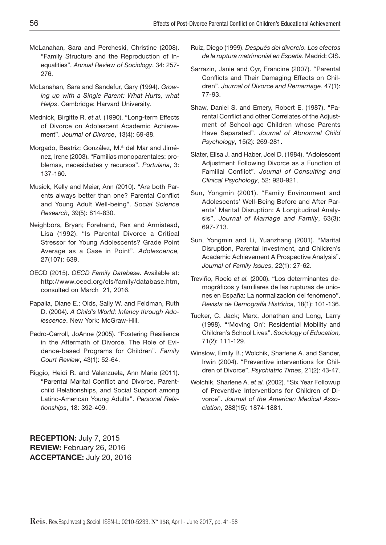- McLanahan, Sara and Percheski, Christine (2008). "Family Structure and the Reproduction of Inequalities". *Annual Review of Sociology*, 34: 257- 276.
- McLanahan, Sara and Sandefur, Gary (1994). *Growing up with a Single Parent: What Hurts, what Helps*. Cambridge: Harvard University.
- Mednick, Birgitte R. *et al.* (1990). "Long-term Effects of Divorce on Adolescent Academic Achievement". *Journal of Divorce*, 13(4): 69-88.
- Morgado, Beatriz; González, M.ª del Mar and Jiménez, Irene (2003). "Familias monoparentales: problemas, necesidades y recursos". *Portularia*, 3: 137-160.
- Musick, Kelly and Meier, Ann (2010). "Are both Parents always better than one? Parental Conflict and Young Adult Well-being". *Social Science Research*, 39(5): 814-830.
- Neighbors, Bryan; Forehand, Rex and Armistead, Lisa (1992). "Is Parental Divorce a Critical Stressor for Young Adolescents? Grade Point Average as a Case in Point". *Adolescence,* 27(107): 639.
- OECD (2015). *OECD Family Database*. Available at: http://www.oecd.org/els/family/database.htm, consulted on March 21, 2016.
- Papalia, Diane E.; Olds, Sally W. and Feldman, Ruth D. (2004). *A Child's World: Infancy through Adolescence*. New York: McGraw-Hill.
- Pedro-Carroll, JoAnne (2005). "Fostering Resilience in the Aftermath of Divorce. The Role of Evidence-based Programs for Children". *Family Court Review*, 43(1): 52-64.
- Riggio, Heidi R. and Valenzuela, Ann Marie (2011). "Parental Marital Conflict and Divorce, Parentchild Relationships, and Social Support among Latino-American Young Adults". *Personal Relationships*, 18: 392-409.

RECEPTION: July 7, 2015 REVIEW: February 26, 2016 ACCEPTANCE: July 20, 2016

- Ruiz, Diego (1999). *Después del divorcio. Los efectos de la ruptura matrimonial en España*. Madrid: CIS.
- Sarrazin, Janie and Cyr, Francine (2007). "Parental Conflicts and Their Damaging Effects on Children". *Journal of Divorce and Remarriage*, 47(1): 77-93.
- Shaw, Daniel S. and Emery, Robert E. (1987). "Parental Conflict and other Correlates of the Adjustment of School-age Children whose Parents Have Separated". *Journal of Abnormal Child Psychology*, 15(2): 269-281.
- Slater, Elisa J. and Haber, Joel D. (1984). "Adolescent Adjustment Following Divorce as a Function of Familial Conflict". *Journal of Consulting and Clinical Psychology*, 52: 920-921.
- Sun, Yongmin (2001). "Family Environment and Adolescents' Well‐Being Before and After Parents' Marital Disruption: A Longitudinal Analysis". *Journal of Marriage and Family*, 63(3): 697-713.
- Sun, Yongmin and Li, Yuanzhang (2001). "Marital Disruption, Parental Investment, and Children's Academic Achievement A Prospective Analysis". *Journal of Family Issues*, 22(1): 27-62.
- Treviño, Rocío *et al.* (2000). "Los determinantes demográficos y familiares de las rupturas de uniones en España: La normalización del fenómeno". *Revista de Demografía Histórica*, 18(1): 101-136.
- Tucker, C. Jack; Marx, Jonathan and Long, Larry (1998). "'Moving On': Residential Mobility and Children's School Lives". *Sociology of Education,* 71(2): 111-129.
- Winslow, Emily B.; Wolchik, Sharlene A. and Sander, Irwin (2004). "Preventive interventions for Children of Divorce". *Psychiatric Times*, 21(2): 43-47.
- Wolchik, Sharlene A. *et al.* (2002). "Six Year Followup of Preventive Interventions for Children of Divorce". *Journal of the American Medical Association*, 288(15): 1874-1881.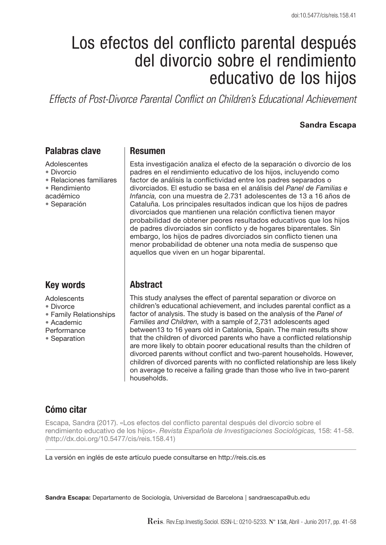# Los efectos del conflicto parental después del divorcio sobre el rendimiento educativo de los hijos

*Effects of Post-Divorce Parental Conflict on Children's Educational Achievement*

#### **Sandra Escapa**

## Palabras clave

Adolescentes

- Divorcio
- Relaciones familiares
- Rendimiento
- académico
- Separación

# Key words

**Adolescents** 

- Divorce
- Family Relationships
- Academic
- **Performance**
- Separation

#### Resumen

Esta investigación analiza el efecto de la separación o divorcio de los padres en el rendimiento educativo de los hijos, incluyendo como factor de análisis la conflictividad entre los padres separados o divorciados. El estudio se basa en el análisis del *Panel de Familias e Infancia,* con una muestra de 2.731 adolescentes de 13 a 16 años de Cataluña. Los principales resultados indican que los hijos de padres divorciados que mantienen una relación conflictiva tienen mayor probabilidad de obtener peores resultados educativos que los hijos de padres divorciados sin conflicto y de hogares biparentales. Sin embargo, los hijos de padres divorciados sin conflicto tienen una menor probabilidad de obtener una nota media de suspenso que aquellos que viven en un hogar biparental.

## **Abstract**

This study analyses the effect of parental separation or divorce on children's educational achievement, and includes parental conflict as a factor of analysis. The study is based on the analysis of the *Panel of Families and Children,* with a sample of 2,731 adolescents aged between13 to 16 years old in Catalonia, Spain. The main results show that the children of divorced parents who have a conflicted relationship are more likely to obtain poorer educational results than the children of divorced parents without conflict and two-parent households. However, children of divorced parents with no conflicted relationship are less likely on average to receive a failing grade than those who live in two-parent households.

# Cómo citar

Escapa, Sandra (2017). «Los efectos del conflicto parental después del divorcio sobre el rendimiento educativo de los hijos». *Revista Española de Investigaciones Sociológicas,* 158: 41-58. (http://dx.doi.org/10.5477/cis/reis.158.41)

La versión en inglés de este artículo puede consultarse en http://reis.cis.es

Sandra Escapa: Departamento de Sociología, Universidad de Barcelona | sandraescapa@ub.edu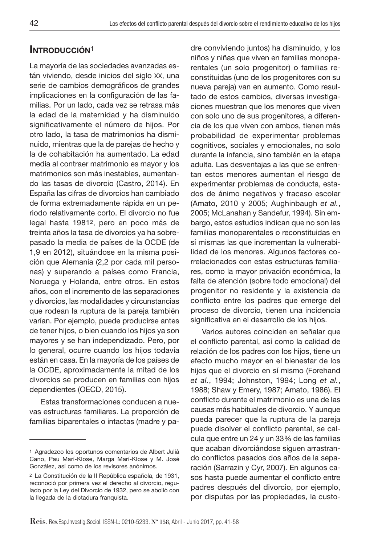## INTRODUCCIÓN<sup>1</sup>

La mayoría de las sociedades avanzadas están viviendo, desde inicios del siglo xx, una serie de cambios demográficos de grandes implicaciones en la configuración de las familias. Por un lado, cada vez se retrasa más la edad de la maternidad y ha disminuido significativamente el número de hijos. Por otro lado, la tasa de matrimonios ha disminuido, mientras que la de parejas de hecho y la de cohabitación ha aumentado. La edad media al contraer matrimonio es mayor y los matrimonios son más inestables, aumentando las tasas de divorcio (Castro, 2014). En España las cifras de divorcios han cambiado de forma extremadamente rápida en un periodo relativamente corto. El divorcio no fue legal hasta 19812, pero en poco más de treinta años la tasa de divorcios ya ha sobrepasado la media de países de la OCDE (de 1,9 en 2012), situándose en la misma posición que Alemania (2,2 por cada mil personas) y superando a países como Francia, Noruega y Holanda, entre otros. En estos años, con el incremento de las separaciones y divorcios, las modalidades y circunstancias que rodean la ruptura de la pareja también varían. Por ejemplo, puede producirse antes de tener hijos, o bien cuando los hijos ya son mayores y se han independizado. Pero, por lo general, ocurre cuando los hijos todavía están en casa. En la mayoría de los países de la OCDE, aproximadamente la mitad de los divorcios se producen en familias con hijos dependientes (OECD, 2015).

Estas transformaciones conducen a nuevas estructuras familiares. La proporción de familias biparentales o intactas (madre y padre conviviendo juntos) ha disminuido, y los niños y niñas que viven en familias monoparentales (un solo progenitor) o familias reconstituidas (uno de los progenitores con su nueva pareja) van en aumento. Como resultado de estos cambios, diversas investigaciones muestran que los menores que viven con solo uno de sus progenitores, a diferencia de los que viven con ambos, tienen más probabilidad de experimentar problemas cognitivos, sociales y emocionales, no solo durante la infancia, sino también en la etapa adulta. Las desventajas a las que se enfrentan estos menores aumentan el riesgo de experimentar problemas de conducta, estados de ánimo negativos y fracaso escolar (Amato, 2010 y 2005; Aughinbaugh *et al.*, 2005; McLanahan y Sandefur, 1994). Sin embargo, estos estudios indican que no son las familias monoparentales o reconstituidas en sí mismas las que incrementan la vulnerabilidad de los menores. Algunos factores correlacionados con estas estructuras familiares, como la mayor privación económica, la falta de atención (sobre todo emocional) del progenitor no residente y la existencia de conflicto entre los padres que emerge del proceso de divorcio, tienen una incidencia significativa en el desarrollo de los hijos.

Varios autores coinciden en señalar que el conflicto parental, así como la calidad de relación de los padres con los hijos, tiene un efecto mucho mayor en el bienestar de los hijos que el divorcio en sí mismo (Forehand *et al.*, 1994; Johnston, 1994; Long *et al.*, 1988; Shaw y Emery, 1987; Amato, 1986). El conflicto durante el matrimonio es una de las causas más habituales de divorcio. Y aunque pueda parecer que la ruptura de la pareja puede disolver el conflicto parental, se calcula que entre un 24 y un 33% de las familias que acaban divorciándose siguen arrastrando conflictos pasados dos años de la separación (Sarrazin y Cyr, 2007). En algunos casos hasta puede aumentar el conflicto entre padres después del divorcio, por ejemplo, por disputas por las propiedades, la custo-

<sup>1</sup> Agradezco los oportunos comentarios de Albert Julià Cano, Pau Marí-Klose, Marga Marí-Klose y M. José González, así como de los revisores anónimos.

<sup>2</sup> La Constitución de la II República española, de 1931, reconoció por primera vez el derecho al divorcio, regulado por la Ley del Divorcio de 1932, pero se abolió con la llegada de la dictadura franquista.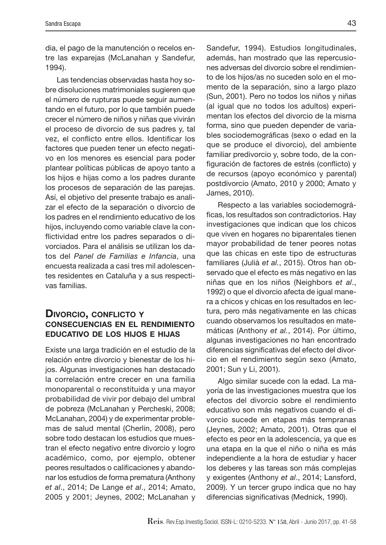dia, el pago de la manutención o recelos entre las exparejas (McLanahan y Sandefur, 1994).

Las tendencias observadas hasta hoy sobre disoluciones matrimoniales sugieren que el número de rupturas puede seguir aumentando en el futuro, por lo que también puede crecer el número de niños y niñas que vivirán el proceso de divorcio de sus padres y, tal vez, el conflicto entre ellos. Identificar los factores que pueden tener un efecto negativo en los menores es esencial para poder plantear políticas públicas de apoyo tanto a los hijos e hijas como a los padres durante los procesos de separación de las parejas. Así, el objetivo del presente trabajo es analizar el efecto de la separación o divorcio de los padres en el rendimiento educativo de los hijos, incluyendo como variable clave la conflictividad entre los padres separados o divorciados. Para el análisis se utilizan los datos del *Panel de Familias e Infancia*, una encuesta realizada a casi tres mil adolescentes residentes en Cataluña y a sus respectivas familias.

## DIVORCIO, CONFLICTO Y consecuencias en el rendimiento educativo de los hijos e hijas

Existe una larga tradición en el estudio de la relación entre divorcio y bienestar de los hijos. Algunas investigaciones han destacado la correlación entre crecer en una familia monoparental o reconstituida y una mayor probabilidad de vivir por debajo del umbral de pobreza (McLanahan y Percheski, 2008; McLanahan, 2004) y de experimentar problemas de salud mental (Cherlin, 2008), pero sobre todo destacan los estudios que muestran el efecto negativo entre divorcio y logro académico, como, por ejemplo, obtener peores resultados o calificaciones y abandonar los estudios de forma prematura (Anthony *et al*., 2014; De Lange *et al*., 2014; Amato, 2005 y 2001; Jeynes, 2002; McLanahan y

Sandefur, 1994). Estudios longitudinales, además, han mostrado que las repercusiones adversas del divorcio sobre el rendimiento de los hijos/as no suceden solo en el momento de la separación, sino a largo plazo (Sun, 2001). Pero no todos los niños y niñas (al igual que no todos los adultos) experimentan los efectos del divorcio de la misma forma, sino que pueden depender de variables sociodemográficas (sexo o edad en la que se produce el divorcio), del ambiente familiar predivorcio y, sobre todo, de la configuración de factores de estrés (conflicto) y de recursos (apoyo económico y parental) postdivorcio (Amato, 2010 y 2000; Amato y James, 2010).

Respecto a las variables sociodemográficas, los resultados son contradictorios. Hay investigaciones que indican que los chicos que viven en hogares no biparentales tienen mayor probabilidad de tener peores notas que las chicas en este tipo de estructuras familiares (Julià *et al.*, 2015). Otros han observado que el efecto es más negativo en las niñas que en los niños (Neighbors *et al*., 1992) o que el divorcio afecta de igual manera a chicos y chicas en los resultados en lectura, pero más negativamente en las chicas cuando observamos los resultados en matemáticas (Anthony *et al.*, 2014). Por último, algunas investigaciones no han encontrado diferencias significativas del efecto del divorcio en el rendimiento según sexo (Amato, 2001; Sun y Li, 2001).

Algo similar sucede con la edad. La mayoría de las investigaciones muestra que los efectos del divorcio sobre el rendimiento educativo son más negativos cuando el divorcio sucede en etapas más tempranas (Jeynes, 2002; Amato, 2001). Otras que el efecto es peor en la adolescencia, ya que es una etapa en la que el niño o niña es más independiente a la hora de estudiar y hacer los deberes y las tareas son más complejas y exigentes (Anthony *et al*., 2014; Lansford, 2009). Y un tercer grupo indica que no hay diferencias significativas (Mednick, 1990).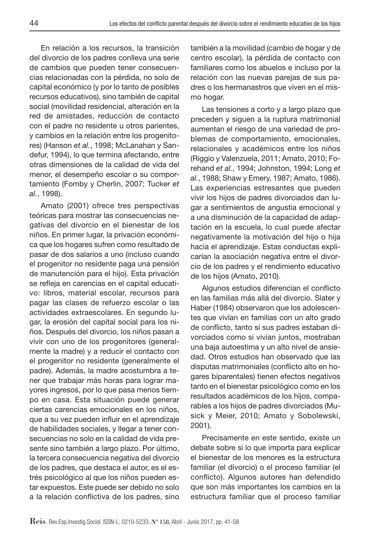En relación a los recursos, la transición del divorcio de los padres conlleva una serie de cambios que pueden tener consecuencias relacionadas con la pérdida, no solo de capital económico (y por lo tanto de posibles recursos educativos), sino también de capital social (movilidad residencial, alteración en la red de amistades, reducción de contacto con el padre no residente u otros parientes, y cambios en la relación entre los progenitores) (Hanson *et al.*, 1998; McLanahan y Sandefur, 1994), lo que termina afectando, entre otras dimensiones de la calidad de vida del menor, el desempeño escolar o su comportamiento (Fomby y Cherlin, 2007; Tucker *et al.*, 1998).

Amato (2001) ofrece tres perspectivas teóricas para mostrar las consecuencias negativas del divorcio en el bienestar de los niños. En primer lugar, la privación económica que los hogares sufren como resultado de pasar de dos salarios a uno (incluso cuando el progenitor no residente paga una pensión de manutención para el hijo). Esta privación se refleja en carencias en el capital educativo: libros, material escolar, recursos para pagar las clases de refuerzo escolar o las actividades extraescolares. En segundo lugar, la erosión del capital social para los niños. Después del divorcio, los niños pasan a vivir con uno de los progenitores (generalmente la madre) y a reducir el contacto con el progenitor no residente (generalmente el padre). Además, la madre acostumbra a tener que trabajar más horas para lograr mayores ingresos, por lo que pasa menos tiempo en casa. Esta situación puede generar ciertas carencias emocionales en los niños, que a su vez pueden influir en el aprendizaje de habilidades sociales, y llegar a tener consecuencias no solo en la calidad de vida presente sino también a largo plazo. Por último, la tercera consecuencia negativa del divorcio de los padres, que destaca el autor, es el estrés psicológico al que los niños pueden estar expuestos. Este puede ser debido no solo a la relación conflictiva de los padres, sino

también a la movilidad (cambio de hogar y de centro escolar), la pérdida de contacto con familiares como los abuelos e incluso por la relación con las nuevas parejas de sus padres o los hermanastros que viven en el mismo hogar.

Las tensiones a corto y a largo plazo que preceden y siguen a la ruptura matrimonial aumentan el riesgo de una variedad de problemas de comportamiento, emocionales, relacionales y académicos entre los niños (Riggio y Valenzuela, 2011; Amato, 2010; Forehand *et al.*, 1994; Johnston, 1994; Long *et al.*, 1988; Shaw y Emery, 1987; Amato, 1986). Las experiencias estresantes que pueden vivir los hijos de padres divorciados dan lugar a sentimientos de angustia emocional y a una disminución de la capacidad de adaptación en la escuela, lo cual puede afectar negativamente la motivación del hijo o hija hacia el aprendizaje. Estas conductas explicarían la asociación negativa entre el divorcio de los padres y el rendimiento educativo de los hijos (Amato, 2010).

Algunos estudios diferencian el conflicto en las familias más allá del divorcio. Slater y Haber (1984) observaron que los adolescentes que vivían en familias con un alto grado de conflicto, tanto si sus padres estaban divorciados como si vivían juntos, mostraban una baja autoestima y un alto nivel de ansiedad. Otros estudios han observado que las disputas matrimoniales (conflicto alto en hogares biparentales) tienen efectos negativos tanto en el bienestar psicológico como en los resultados académicos de los hijos, comparables a los hijos de padres divorciados (Musick y Meier, 2010; Amato y Sobolewski, 2001).

Precisamente en este sentido, existe un debate sobre si lo que importa para explicar el bienestar de los menores es la estructura familiar (el divorcio) o el proceso familiar (el conflicto). Algunos autores han defendido que son más importantes los cambios en la estructura familiar que el proceso familiar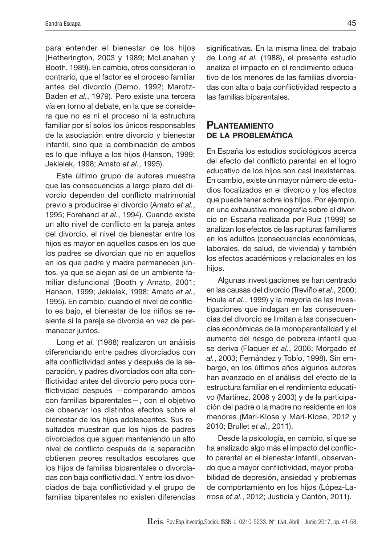para entender el bienestar de los hijos (Hetherington, 2003 y 1989; McLanahan y Booth, 1989). En cambio, otros consideran lo contrario, que el factor es el proceso familiar antes del divorcio (Demo, 1992; Marotz-Baden *et al.*, 1979). Pero existe una tercera vía en torno al debate, en la que se considera que no es ni el proceso ni la estructura familiar por sí solos los únicos responsables de la asociación entre divorcio y bienestar infantil, sino que la combinación de ambos es lo que influye a los hijos (Hanson, 1999; Jekielek, 1998; Amato *et al.*, 1995).

Este último grupo de autores muestra que las consecuencias a largo plazo del divorcio dependen del conflicto matrimonial previo a producirse el divorcio (Amato *et al.*, 1995; Forehand *et al.*, 1994). Cuando existe un alto nivel de conflicto en la pareja antes del divorcio, el nivel de bienestar entre los hijos es mayor en aquellos casos en los que los padres se divorcian que no en aquellos en los que padre y madre permanecen juntos, ya que se alejan así de un ambiente familiar disfuncional (Booth y Amato, 2001; Hanson, 1999; Jekielek, 1998; Amato *et al.*, 1995). En cambio, cuando el nivel de conflicto es bajo, el bienestar de los niños se resiente si la pareja se divorcia en vez de permanecer juntos.

Long *et al.* (1988) realizaron un análisis diferenciando entre padres divorciados con alta conflictividad antes y después de la separación, y padres divorciados con alta conflictividad antes del divorcio pero poca conflictividad después —comparando ambos con familias biparentales—, con el objetivo de observar los distintos efectos sobre el bienestar de los hijos adolescentes. Sus resultados muestran que los hijos de padres divorciados que siguen manteniendo un alto nivel de conflicto después de la separación obtienen peores resultados escolares que los hijos de familias biparentales o divorciadas con baja conflictividad. Y entre los divorciados de baja conflictividad y el grupo de familias biparentales no existen diferencias

significativas. En la misma línea del trabajo de Long *et al.* (1988), el presente estudio analiza el impacto en el rendimiento educativo de los menores de las familias divorciadas con alta o baja conflictividad respecto a las familias biparentales.

## **PLANTEAMIENTO** de la problemática

En España los estudios sociológicos acerca del efecto del conflicto parental en el logro educativo de los hijos son casi inexistentes. En cambio, existe un mayor número de estudios focalizados en el divorcio y los efectos que puede tener sobre los hijos. Por ejemplo, en una exhaustiva monografía sobre el divorcio en España realizada por Ruiz (1999) se analizan los efectos de las rupturas familiares en los adultos (consecuencias económicas, laborales, de salud, de vivienda) y también los efectos académicos y relacionales en los hijos.

Algunas investigaciones se han centrado en las causas del divorcio (Treviño *et al*., 2000; Houle *et al*., 1999) y la mayoría de las investigaciones que indagan en las consecuencias del divorcio se limitan a las consecuencias económicas de la monoparentalidad y el aumento del riesgo de pobreza infantil que se deriva (Flaquer *et al.*, 2006; Morgado *et al.*, 2003; Fernández y Tobío, 1998). Sin embargo, en los últimos años algunos autores han avanzado en el análisis del efecto de la estructura familiar en el rendimiento educativo (Martínez, 2008 y 2003) y de la participación del padre o la madre no residente en los menores (Marí-Klose y Marí-Klose, 2012 y 2010; Brullet *et al.*, 2011).

Desde la psicología, en cambio, sí que se ha analizado algo más el impacto del conflicto parental en el bienestar infantil, observando que a mayor conflictividad, mayor probabilidad de depresión, ansiedad y problemas de comportamiento en los hijos (López-Larrosa *et al.*, 2012; Justicia y Cantón, 2011).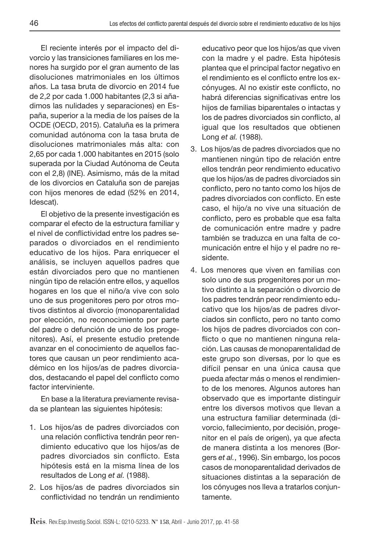El reciente interés por el impacto del divorcio y las transiciones familiares en los menores ha surgido por el gran aumento de las disoluciones matrimoniales en los últimos años. La tasa bruta de divorcio en 2014 fue de 2,2 por cada 1.000 habitantes (2,3 si añadimos las nulidades y separaciones) en España, superior a la media de los países de la OCDE (OECD, 2015). Cataluña es la primera comunidad autónoma con la tasa bruta de disoluciones matrimoniales más alta: con 2,65 por cada 1.000 habitantes en 2015 (solo superada por la Ciudad Autónoma de Ceuta con el 2,8) (INE). Asimismo, más de la mitad de los divorcios en Cataluña son de parejas con hijos menores de edad (52% en 2014, Idescat).

El objetivo de la presente investigación es comparar el efecto de la estructura familiar y el nivel de conflictividad entre los padres separados o divorciados en el rendimiento educativo de los hijos. Para enriquecer el análisis, se incluyen aquellos padres que están divorciados pero que no mantienen ningún tipo de relación entre ellos, y aquellos hogares en los que el niño/a vive con solo uno de sus progenitores pero por otros motivos distintos al divorcio (monoparentalidad por elección, no reconocimiento por parte del padre o defunción de uno de los progenitores). Así, el presente estudio pretende avanzar en el conocimiento de aquellos factores que causan un peor rendimiento académico en los hijos/as de padres divorciados, destacando el papel del conflicto como factor interviniente.

En base a la literatura previamente revisada se plantean las siguientes hipótesis:

- 1. Los hijos/as de padres divorciados con una relación conflictiva tendrán peor rendimiento educativo que los hijos/as de padres divorciados sin conflicto. Esta hipótesis está en la misma línea de los resultados de Long *et al.* (1988).
- 2. Los hijos/as de padres divorciados sin conflictividad no tendrán un rendimiento

educativo peor que los hijos/as que viven con la madre y el padre. Esta hipótesis plantea que el principal factor negativo en el rendimiento es el conflicto entre los excónyuges. Al no existir este conflicto, no habrá diferencias significativas entre los hijos de familias biparentales o intactas y los de padres divorciados sin conflicto, al igual que los resultados que obtienen Long *et al.* (1988).

- 3. Los hijos/as de padres divorciados que no mantienen ningún tipo de relación entre ellos tendrán peor rendimiento educativo que los hijos/as de padres divorciados sin conflicto, pero no tanto como los hijos de padres divorciados con conflicto. En este caso, el hijo/a no vive una situación de conflicto, pero es probable que esa falta de comunicación entre madre y padre también se traduzca en una falta de comunicación entre el hijo y el padre no residente.
- 4. Los menores que viven en familias con solo uno de sus progenitores por un motivo distinto a la separación o divorcio de los padres tendrán peor rendimiento educativo que los hijos/as de padres divorciados sin conflicto, pero no tanto como los hijos de padres divorciados con conflicto o que no mantienen ninguna relación. Las causas de monoparentalidad de este grupo son diversas, por lo que es difícil pensar en una única causa que pueda afectar más o menos el rendimiento de los menores. Algunos autores han observado que es importante distinguir entre los diversos motivos que llevan a una estructura familiar determinada (divorcio, fallecimiento, por decisión, progenitor en el país de origen), ya que afecta de manera distinta a los menores (Borgers *et al.*, 1996). Sin embargo, los pocos casos de monoparentalidad derivados de situaciones distintas a la separación de los cónyuges nos lleva a tratarlos conjuntamente.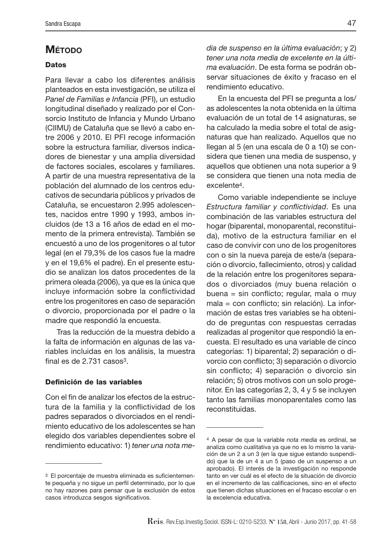## **M**ÉTODO

#### **Datos**

Para llevar a cabo los diferentes análisis planteados en esta investigación, se utiliza el *Panel de Familias e Infancia* (PFI), un estudio longitudinal diseñado y realizado por el Consorcio Instituto de Infancia y Mundo Urbano (CIIMU) de Cataluña que se llevó a cabo entre 2006 y 2010. El PFI recoge información sobre la estructura familiar, diversos indicadores de bienestar y una amplia diversidad de factores sociales, escolares y familiares. A partir de una muestra representativa de la población del alumnado de los centros educativos de secundaria públicos y privados de Cataluña, se encuestaron 2.995 adolescentes, nacidos entre 1990 y 1993, ambos incluidos (de 13 a 16 años de edad en el momento de la primera entrevista). También se encuestó a uno de los progenitores o al tutor legal (en el 79,3% de los casos fue la madre y en el 19,6% el padre). En el presente estudio se analizan los datos procedentes de la primera oleada (2006), ya que es la única que incluye información sobre la conflictividad entre los progenitores en caso de separación o divorcio, proporcionada por el padre o la madre que respondió la encuesta.

Tras la reducción de la muestra debido a la falta de información en algunas de las variables incluidas en los análisis, la muestra final es de 2.731 casos<sup>3</sup>.

#### Definición de las variables

Con el fin de analizar los efectos de la estructura de la familia y la conflictividad de los padres separados o divorciados en el rendimiento educativo de los adolescentes se han elegido dos variables dependientes sobre el rendimiento educativo: 1) *tener una nota me-* *dia de suspenso en la última evaluación*; y 2) *tener una nota media de excelente en la última evaluación*. De esta forma se podrán observar situaciones de éxito y fracaso en el rendimiento educativo.

En la encuesta del PFI se pregunta a los/ as adolescentes la nota obtenida en la última evaluación de un total de 14 asignaturas, se ha calculado la media sobre el total de asignaturas que han realizado. Aquellos que no llegan al 5 (en una escala de 0 a 10) se considera que tienen una media de suspenso, y aquellos que obtienen una nota superior a 9 se considera que tienen una nota media de excelente4.

Como variable independiente se incluye *Estructura familiar y conflictividad*. Es una combinación de las variables estructura del hogar (biparental, monoparental, reconstituida), motivo de la estructura familiar en el caso de convivir con uno de los progenitores con o sin la nueva pareja de este/a (separación o divorcio, fallecimiento, otros) y calidad de la relación entre los progenitores separados o divorciados (muy buena relación o buena = sin conflicto; regular, mala o muy mala = con conflicto; sin relación). La información de estas tres variables se ha obtenido de preguntas con respuestas cerradas realizadas al progenitor que respondió la encuesta. El resultado es una variable de cinco categorías: 1) biparental; 2) separación o divorcio con conflicto; 3) separación o divorcio sin conflicto; 4) separación o divorcio sin relación; 5) otros motivos con un solo progenitor. En las categorías 2, 3, 4 y 5 se incluyen tanto las familias monoparentales como las reconstituidas.

<sup>3</sup> El porcentaje de muestra eliminada es suficientemente pequeña y no sigue un perfil determinado, por lo que no hay razones para pensar que la exclusión de estos casos introduzca sesgos significativos.

<sup>4</sup> A pesar de que la variable *nota media* es ordinal, se analiza como cualitativa ya que no es lo mismo la variación de un 2 a un 3 (en la que sigue estando suspendido) que la de un 4 a un 5 (paso de un suspenso a un aprobado). El interés de la investigación no responde tanto en ver cuál es el efecto de la situación de divorcio en el incremento de las calificaciones, sino en el efecto que tienen dichas situaciones en el fracaso escolar o en la excelencia educativa.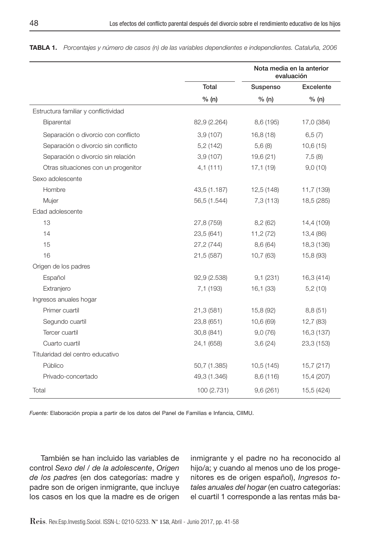|                                      | Nota media en la anterior<br>evaluación |            |            |
|--------------------------------------|-----------------------------------------|------------|------------|
|                                      | Total                                   | Suspenso   | Excelente  |
|                                      | % (n)                                   | % (n)      | % (n)      |
| Estructura familiar y conflictividad |                                         |            |            |
| Biparental                           | 82,9 (2.264)                            | 8,6 (195)  | 17,0 (384) |
| Separación o divorcio con conflicto  | 3,9(107)                                | 16,8(18)   | 6,5(7)     |
| Separación o divorcio sin conflicto  | 5,2(142)                                | 5,6(8)     | 10,6(15)   |
| Separación o divorcio sin relación   | 3,9(107)                                | 19,6(21)   | 7,5(8)     |
| Otras situaciones con un progenitor  | 4,1(111)                                | 17,1(19)   | 9,0(10)    |
| Sexo adolescente                     |                                         |            |            |
| Hombre                               | 43,5 (1.187)                            | 12,5 (148) | 11,7 (139) |
| Mujer                                | 56,5 (1.544)                            | 7,3 (113)  | 18,5 (285) |
| Edad adolescente                     |                                         |            |            |
| 13                                   | 27,8 (759)                              | 8,2(62)    | 14,4 (109) |
| 14                                   | 23,5 (641)                              | 11,2 (72)  | 13,4 (86)  |
| 15                                   | 27,2 (744)                              | 8,6 (64)   | 18,3 (136) |
| 16                                   | 21,5 (587)                              | 10,7(63)   | 15,8 (93)  |
| Origen de los padres                 |                                         |            |            |
| Español                              | 92,9 (2.538)                            | 9,1(231)   | 16,3 (414) |
| Extranjero                           | 7,1 (193)                               | 16,1(33)   | 5,2(10)    |
| Ingresos anuales hogar               |                                         |            |            |
| Primer cuartil                       | 21,3 (581)                              | 15,8 (92)  | 8,8(51)    |
| Segundo cuartil                      | 23,8 (651)                              | 10,6 (69)  | 12,7(83)   |
| Tercer cuartil                       | 30,8 (841)                              | 9,0(76)    | 16,3 (137) |
| Cuarto cuartil                       | 24,1 (658)                              | 3,6(24)    | 23,3 (153) |
| Titularidad del centro educativo     |                                         |            |            |
| Público                              | 50,7 (1.385)                            | 10.5(145)  | 15,7 (217) |
| Privado-concertado                   | 49,3 (1.346)                            | 8,6 (116)  | 15,4 (207) |
| Total                                | 100 (2.731)                             | 9,6(261)   | 15,5 (424) |

Tabla 1. *Porcentajes y número de casos (n) de las variables dependientes e independientes. Cataluña, 2006*

*Fuente:* Elaboración propia a partir de los datos del Panel de Familias e Infancia, CIIMU.

También se han incluido las variables de control *Sexo del / de la adolescente*, *Origen de los padres* (en dos categorías: madre y padre son de origen inmigrante, que incluye los casos en los que la madre es de origen inmigrante y el padre no ha reconocido al hijo/a; y cuando al menos uno de los progenitores es de origen español), *Ingresos totales anuales del hogar* (en cuatro categorías: el cuartil 1 corresponde a las rentas más ba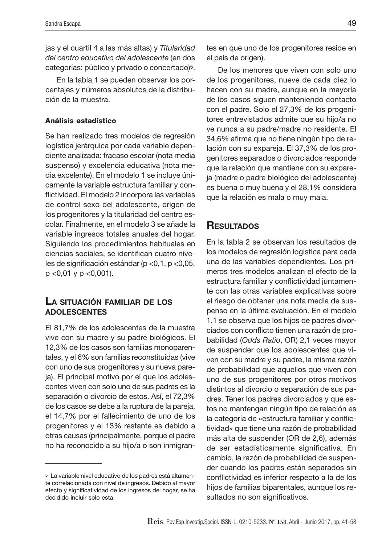jas y el cuartil 4 a las más altas) y *Titularidad del centro educativo del adolescente* (en dos categorías: público y privado o concertado)5.

En la tabla 1 se pueden observar los porcentajes y números absolutos de la distribución de la muestra.

#### Análisis estadístico

Se han realizado tres modelos de regresión logística jerárquica por cada variable dependiente analizada: fracaso escolar (nota media suspenso) y excelencia educativa (nota media excelente). En el modelo 1 se incluye únicamente la variable estructura familiar y conflictividad. El modelo 2 incorpora las variables de control sexo del adolescente, origen de los progenitores y la titularidad del centro escolar. Finalmente, en el modelo 3 se añade la variable ingresos totales anuales del hogar. Siguiendo los procedimientos habituales en ciencias sociales, se identifican cuatro niveles de significación estándar (p <0,1, p <0,05, p <0,01 y p <0,001).

#### La situación familiar de los adolescentes

El 81,7% de los adolescentes de la muestra vive con su madre y su padre biológicos. El 12,3% de los casos son familias monoparentales, y el 6% son familias reconstituidas (vive con uno de sus progenitores y su nueva pareja). El principal motivo por el que los adolescentes viven con solo uno de sus padres es la separación o divorcio de estos. Así, el 72,3% de los casos se debe a la ruptura de la pareja, el 14,7% por el fallecimiento de uno de los progenitores y el 13% restante es debido a otras causas (principalmente, porque el padre no ha reconocido a su hijo/a o son inmigrantes en que uno de los progenitores reside en el país de origen).

De los menores que viven con solo uno de los progenitores, nueve de cada diez lo hacen con su madre, aunque en la mayoría de los casos siguen manteniendo contacto con el padre. Solo el 27,3% de los progenitores entrevistados admite que su hijo/a no ve nunca a su padre/madre no residente. El 34,6% afirma que no tiene ningún tipo de relación con su expareja. El 37,3% de los progenitores separados o divorciados responde que la relación que mantiene con su expareja (madre o padre biológico del adolescente) es buena o muy buena y el 28,1% considera que la relación es mala o muy mala.

# **RESULTADOS**

En la tabla 2 se observan los resultados de los modelos de regresión logística para cada una de las variables dependientes. Los primeros tres modelos analizan el efecto de la estructura familiar y conflictividad juntamente con las otras variables explicativas sobre el riesgo de obtener una nota media de suspenso en la última evaluación. En el modelo 1.1 se observa que los hijos de padres divorciados con conflicto tienen una razón de probabilidad (*Odds Ratio*, OR) 2,1 veces mayor de suspender que los adolescentes que viven con su madre y su padre, la misma razón de probabilidad que aquellos que viven con uno de sus progenitores por otros motivos distintos al divorcio o separación de sus padres. Tener los padres divorciados y que estos no mantengan ningún tipo de relación es la categoría de «estructura familiar y conflictividad» que tiene una razón de probabilidad más alta de suspender (OR de 2,6), además de ser estadísticamente significativa. En cambio, la razón de probabilidad de suspender cuando los padres están separados sin conflictividad es inferior respecto a la de los hijos de familias biparentales, aunque los resultados no son significativos.

<sup>5</sup> La variable nivel educativo de los padres está altamente correlacionada con nivel de ingresos. Debido al mayor efecto y significatividad de los ingresos del hogar, se ha decidido incluir solo esta.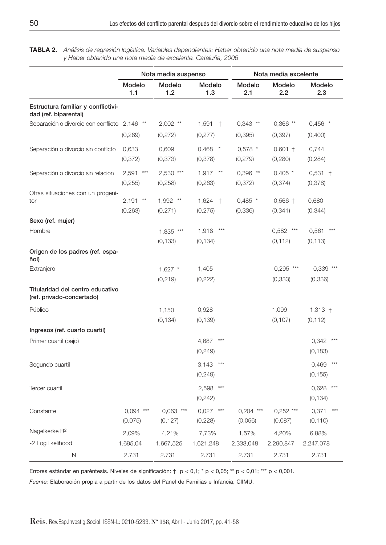Tabla 2. *Análisis de regresión logística. Variables dependientes: Haber obtenido una nota media de suspenso y Haber obtenido una nota media de excelente. Cataluña, 2006*

|                                                               | Nota media suspenso                  |                         |                            | Nota media excelente      |                            |                            |
|---------------------------------------------------------------|--------------------------------------|-------------------------|----------------------------|---------------------------|----------------------------|----------------------------|
|                                                               | Modelo<br>1.1                        | Modelo<br>1.2           | Modelo<br>1.3              | Modelo<br>2.1             | Modelo<br>2.2              | Modelo<br>2.3              |
| Estructura familiar y conflictivi-<br>dad (ref. biparental)   |                                      |                         |                            |                           |                            |                            |
| Separación o divorcio con conflicto 2,146 **                  | (0, 269)                             | $2,002$ **<br>(0, 272)  | $1,591$ $+$<br>(0, 277)    | $0,343$ **<br>(0, 395)    | $0,366$ **<br>(0, 397)     | $0,456$ *<br>(0,400)       |
| Separación o divorcio sin conflicto                           | 0,633<br>(0, 372)                    | 0,609<br>(0, 373)       | $0,468$ *<br>(0,378)       | $0,578$ *<br>(0, 279)     | $0,601$ +<br>(0,280)       | 0,744<br>(0, 284)          |
| Separación o divorcio sin relación                            | 2,591<br>$***$<br>(0, 255)           | $2,530$ ***<br>(0,258)  | 1,917<br>$**$<br>(0, 263)  | $0,396$ **<br>(0, 372)    | $0,405$ *<br>(0, 374)      | $0,531 +$<br>(0, 378)      |
| Otras situaciones con un progeni-<br>tor                      | 2,191<br>$^{\star\star}$<br>(0, 263) | 1,992 **<br>(0, 271)    | 1,624<br>$+$<br>(0, 275)   | $0,485$ *<br>(0, 336)     | $0,566$ +<br>(0, 341)      | 0,680<br>(0, 344)          |
| Sexo (ref. mujer)                                             |                                      |                         |                            |                           |                            |                            |
| Hombre                                                        |                                      | 1,835 ***<br>(0, 133)   | $***$<br>1,918<br>(0, 134) |                           | 0,582<br>$***$<br>(0, 112) | 0,561<br>(0, 113)          |
| Origen de los padres (ref. espa-<br>ñol)                      |                                      |                         |                            |                           |                            |                            |
| Extranjero                                                    |                                      | $1,627$ *<br>(0, 219)   | 1,405<br>(0,222)           |                           | 0,295<br>***<br>(0, 333)   | 0,339<br>(0, 336)          |
| Titularidad del centro educativo<br>(ref. privado-concertado) |                                      |                         |                            |                           |                            |                            |
| Público                                                       |                                      | 1,150<br>(0, 134)       | 0,928<br>(0, 139)          |                           | 1,099<br>(0, 107)          | $1,313 +$<br>(0, 112)      |
| Ingresos (ref. cuarto cuartil)                                |                                      |                         |                            |                           |                            |                            |
| Primer cuartil (bajo)                                         |                                      |                         | 4,687<br>(0, 249)          |                           |                            | 0,342<br>(0, 183)          |
| Segundo cuartil                                               |                                      |                         | $***$<br>3,143<br>(0, 249) |                           |                            | $***$<br>0,469<br>(0, 155) |
| Tercer cuartil                                                |                                      |                         | 2,598<br>$***$<br>(0, 242) |                           |                            | $***$<br>0,628<br>(0, 134) |
| Constante                                                     | $0.094$ ***<br>(0,075)               | $0.063$ ***<br>(0, 127) | 0,027<br>$***$<br>(0,228)  | 0,204<br>$***$<br>(0,056) | $0,252$ ***<br>(0,087)     | 0,371<br>(0, 110)          |
| Nagelkerke R <sup>2</sup>                                     | 2,09%                                | 4,21%                   | 7,73%                      | 1,57%                     | 4,20%                      | 6,88%                      |
| -2 Log likelihood                                             | 1.695,04                             | 1.667,525               | 1.621,248                  | 2.333,048                 | 2.290,847                  | 2.247,078                  |
| Ν                                                             | 2.731                                | 2.731                   | 2.731                      | 2.731                     | 2.731                      | 2.731                      |

Errores estándar en paréntesis. Niveles de significación: † p < 0,1; \* p < 0,05; \*\* p < 0,01; \*\*\* p < 0,001.

*Fuente:* Elaboración propia a partir de los datos del Panel de Familias e Infancia, CIIMU.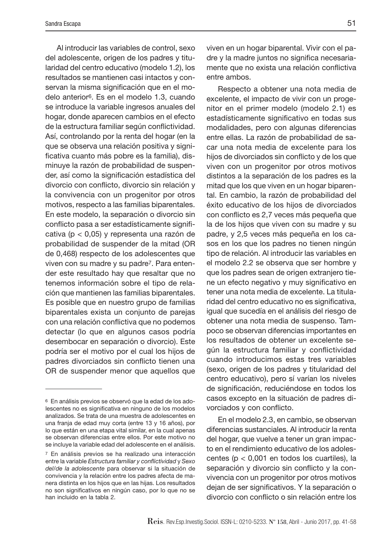Al introducir las variables de control, sexo del adolescente, origen de los padres y titularidad del centro educativo (modelo 1.2), los resultados se mantienen casi intactos y conservan la misma significación que en el modelo anterior6. Es en el modelo 1.3, cuando se introduce la variable ingresos anuales del hogar, donde aparecen cambios en el efecto de la estructura familiar según conflictividad. Así, controlando por la renta del hogar (en la que se observa una relación positiva y significativa cuanto más pobre es la familia), disminuye la razón de probabilidad de suspender, así como la significación estadística del divorcio con conflicto, divorcio sin relación y la convivencia con un progenitor por otros motivos, respecto a las familias biparentales. En este modelo, la separación o divorcio sin conflicto pasa a ser estadísticamente significativa (p < 0,05) y representa una razón de probabilidad de suspender de la mitad (OR de 0,468) respecto de los adolescentes que viven con su madre y su padre7. Para entender este resultado hay que resaltar que no tenemos información sobre el tipo de relación que mantienen las familias biparentales. Es posible que en nuestro grupo de familias biparentales exista un conjunto de parejas con una relación conflictiva que no podemos detectar (lo que en algunos casos podría desembocar en separación o divorcio). Este podría ser el motivo por el cual los hijos de padres divorciados sin conflicto tienen una OR de suspender menor que aquellos que

viven en un hogar biparental. Vivir con el padre y la madre juntos no significa necesariamente que no exista una relación conflictiva entre ambos.

Respecto a obtener una nota media de excelente, el impacto de vivir con un progenitor en el primer modelo (modelo 2.1) es estadísticamente significativo en todas sus modalidades, pero con algunas diferencias entre ellas. La razón de probabilidad de sacar una nota media de excelente para los hijos de divorciados sin conflicto y de los que viven con un progenitor por otros motivos distintos a la separación de los padres es la mitad que los que viven en un hogar biparental. En cambio, la razón de probabilidad del éxito educativo de los hijos de divorciados con conflicto es 2,7 veces más pequeña que la de los hijos que viven con su madre y su padre, y 2,5 veces más pequeña en los casos en los que los padres no tienen ningún tipo de relación. Al introducir las variables en el modelo 2.2 se observa que ser hombre y que los padres sean de origen extranjero tiene un efecto negativo y muy significativo en tener una nota media de excelente. La titularidad del centro educativo no es significativa, igual que sucedía en el análisis del riesgo de obtener una nota media de suspenso. Tampoco se observan diferencias importantes en los resultados de obtener un excelente según la estructura familiar y conflictividad cuando introducimos estas tres variables (sexo, origen de los padres y titularidad del centro educativo), pero sí varían los niveles de significación, reduciéndose en todos los casos excepto en la situación de padres divorciados y con conflicto.

En el modelo 2.3, en cambio, se observan diferencias sustanciales. Al introducir la renta del hogar, que vuelve a tener un gran impacto en el rendimiento educativo de los adolescentes (p < 0,001 en todos los cuartiles), la separación y divorcio sin conflicto y la convivencia con un progenitor por otros motivos dejan de ser significativos. Y la separación o divorcio con conflicto o sin relación entre los

<sup>6</sup> En análisis previos se observó que la edad de los adolescentes no es significativa en ninguno de los modelos analizados. Se trata de una muestra de adolescentes en una franja de edad muy corta (entre 13 y 16 años), por lo que están en una etapa vital similar, en la cual apenas se observan diferencias entre ellos. Por este motivo no se incluye la variable edad del adolescente en el análisis.

<sup>7</sup> En análisis previos se ha realizado una interacción entre la variable *Estructura familiar y conflictividad* y *Sexo del/de la adolescente* para observar si la situación de convivencia y la relación entre los padres afecta de manera distinta en los hijos que en las hijas. Los resultados no son significativos en ningún caso, por lo que no se han incluido en la tabla 2.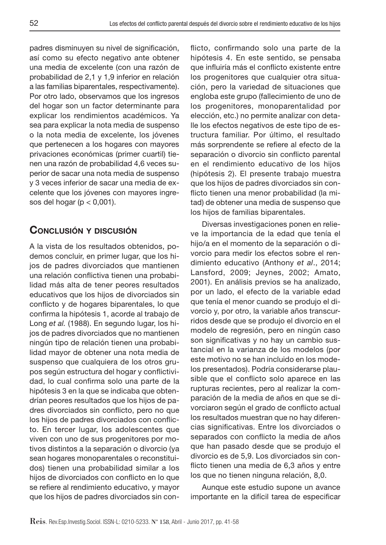padres disminuyen su nivel de significación, así como su efecto negativo ante obtener una media de excelente (con una razón de probabilidad de 2,1 y 1,9 inferior en relación a las familias biparentales, respectivamente). Por otro lado, observamos que los ingresos del hogar son un factor determinante para explicar los rendimientos académicos. Ya sea para explicar la nota media de suspenso o la nota media de excelente, los jóvenes que pertenecen a los hogares con mayores privaciones económicas (primer cuartil) tienen una razón de probabilidad 4,6 veces superior de sacar una nota media de suspenso y 3 veces inferior de sacar una media de excelente que los jóvenes con mayores ingresos del hogar ( $p < 0.001$ ).

# Conclusión y discusión

A la vista de los resultados obtenidos, podemos concluir, en primer lugar, que los hijos de padres divorciados que mantienen una relación conflictiva tienen una probabilidad más alta de tener peores resultados educativos que los hijos de divorciados sin conflicto y de hogares biparentales, lo que confirma la hipótesis 1, acorde al trabajo de Long *et al.* (1988). En segundo lugar, los hijos de padres divorciados que no mantienen ningún tipo de relación tienen una probabilidad mayor de obtener una nota media de suspenso que cualquiera de los otros grupos según estructura del hogar y conflictividad, lo cual confirma solo una parte de la hipótesis 3 en la que se indicaba que obtendrían peores resultados que los hijos de padres divorciados sin conflicto, pero no que los hijos de padres divorciados con conflicto. En tercer lugar, los adolescentes que viven con uno de sus progenitores por motivos distintos a la separación o divorcio (ya sean hogares monoparentales o reconstituidos) tienen una probabilidad similar a los hijos de divorciados con conflicto en lo que se refiere al rendimiento educativo, y mayor que los hijos de padres divorciados sin conflicto, confirmando solo una parte de la hipótesis 4. En este sentido, se pensaba que influiría más el conflicto existente entre los progenitores que cualquier otra situación, pero la variedad de situaciones que engloba este grupo (fallecimiento de uno de los progenitores, monoparentalidad por elección, etc.) no permite analizar con detalle los efectos negativos de este tipo de estructura familiar. Por último, el resultado más sorprendente se refiere al efecto de la separación o divorcio sin conflicto parental en el rendimiento educativo de los hijos (hipótesis 2). El presente trabajo muestra que los hijos de padres divorciados sin conflicto tienen una menor probabilidad (la mitad) de obtener una media de suspenso que los hijos de familias biparentales.

Diversas investigaciones ponen en relieve la importancia de la edad que tenía el hijo/a en el momento de la separación o divorcio para medir los efectos sobre el rendimiento educativo (Anthony *et al*., 2014; Lansford, 2009; Jeynes, 2002; Amato, 2001). En análisis previos se ha analizado, por un lado, el efecto de la variable edad que tenía el menor cuando se produjo el divorcio y, por otro, la variable años transcurridos desde que se produjo el divorcio en el modelo de regresión, pero en ningún caso son significativas y no hay un cambio sustancial en la varianza de los modelos (por este motivo no se han incluido en los modelos presentados). Podría considerarse plausible que el conflicto solo aparece en las rupturas recientes, pero al realizar la comparación de la media de años en que se divorciaron según el grado de conflicto actual los resultados muestran que no hay diferencias significativas. Entre los divorciados o separados con conflicto la media de años que han pasado desde que se produjo el divorcio es de 5,9. Los divorciados sin conflicto tienen una media de 6,3 años y entre los que no tienen ninguna relación, 8,0.

Aunque este estudio supone un avance importante en la difícil tarea de especificar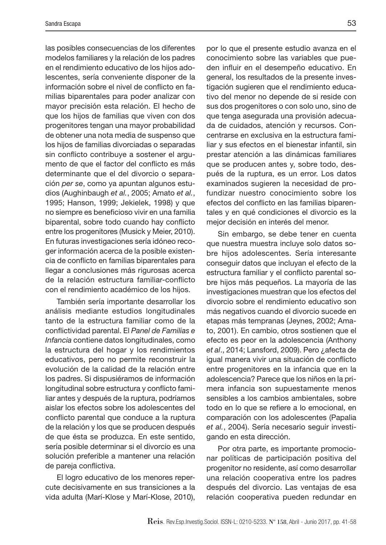las posibles consecuencias de los diferentes modelos familiares y la relación de los padres en el rendimiento educativo de los hijos adolescentes, sería conveniente disponer de la información sobre el nivel de conflicto en familias biparentales para poder analizar con mayor precisión esta relación. El hecho de que los hijos de familias que viven con dos progenitores tengan una mayor probabilidad de obtener una nota media de suspenso que los hijos de familias divorciadas o separadas sin conflicto contribuye a sostener el argumento de que el factor del conflicto es más determinante que el del divorcio o separación *per se*, como ya apuntan algunos estudios (Aughinbaugh *et al.*, 2005; Amato *et al.*, 1995; Hanson, 1999; Jekielek, 1998) y que no siempre es beneficioso vivir en una familia biparental, sobre todo cuando hay conflicto entre los progenitores (Musick y Meier, 2010). En futuras investigaciones sería idóneo recoger información acerca de la posible existencia de conflicto en familias biparentales para llegar a conclusiones más rigurosas acerca de la relación estructura familiar-conflicto con el rendimiento académico de los hijos.

También sería importante desarrollar los análisis mediante estudios longitudinales tanto de la estructura familiar como de la conflictividad parental. El *Panel de Familias e Infancia* contiene datos longitudinales, como la estructura del hogar y los rendimientos educativos, pero no permite reconstruir la evolución de la calidad de la relación entre los padres. Si dispusiéramos de información longitudinal sobre estructura y conflicto familiar antes y después de la ruptura, podríamos aislar los efectos sobre los adolescentes del conflicto parental que conduce a la ruptura de la relación y los que se producen después de que ésta se produzca. En este sentido, sería posible determinar si el divorcio es una solución preferible a mantener una relación de pareja conflictiva.

El logro educativo de los menores repercute decisivamente en sus transiciones a la vida adulta (Marí-Klose y Marí-Klose, 2010),

por lo que el presente estudio avanza en el conocimiento sobre las variables que pueden influir en el desempeño educativo. En general, los resultados de la presente investigación sugieren que el rendimiento educativo del menor no depende de si reside con sus dos progenitores o con solo uno, sino de que tenga asegurada una provisión adecuada de cuidados, atención y recursos. Concentrarse en exclusiva en la estructura familiar y sus efectos en el bienestar infantil, sin prestar atención a las dinámicas familiares que se producen antes y, sobre todo, después de la ruptura, es un error. Los datos examinados sugieren la necesidad de profundizar nuestro conocimiento sobre los efectos del conflicto en las familias biparentales y en qué condiciones el divorcio es la mejor decisión en interés del menor.

Sin embargo, se debe tener en cuenta que nuestra muestra incluye solo datos sobre hijos adolescentes. Sería interesante conseguir datos que incluyan el efecto de la estructura familiar y el conflicto parental sobre hijos más pequeños. La mayoría de las investigaciones muestran que los efectos del divorcio sobre el rendimiento educativo son más negativos cuando el divorcio sucede en etapas más tempranas (Jeynes, 2002; Amato, 2001). En cambio, otros sostienen que el efecto es peor en la adolescencia (Anthony *et al*., 2014; Lansford, 2009). Pero ¿afecta de igual manera vivir una situación de conflicto entre progenitores en la infancia que en la adolescencia? Parece que los niños en la primera infancia son supuestamente menos sensibles a los cambios ambientales, sobre todo en lo que se refiere a lo emocional, en comparación con los adolescentes (Papalia *et al.*, 2004). Sería necesario seguir investigando en esta dirección.

Por otra parte, es importante promocionar políticas de participación positiva del progenitor no residente, así como desarrollar una relación cooperativa entre los padres después del divorcio. Las ventajas de esa relación cooperativa pueden redundar en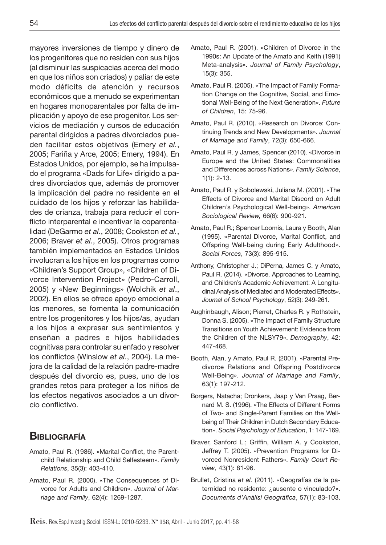mayores inversiones de tiempo y dinero de los progenitores que no residen con sus hijos (al disminuir las suspicacias acerca del modo en que los niños son criados) y paliar de este modo déficits de atención y recursos económicos que a menudo se experimentan en hogares monoparentales por falta de implicación y apoyo de ese progenitor. Los servicios de mediación y cursos de educación parental dirigidos a padres divorciados pueden facilitar estos objetivos (Emery *et al.*, 2005; Fariña y Arce, 2005; Emery, 1994). En Estados Unidos, por ejemplo, se ha impulsado el programa «Dads for Life» dirigido a padres divorciados que, además de promover la implicación del padre no residente en el cuidado de los hijos y reforzar las habilidades de crianza, trabaja para reducir el conflicto interparental e incentivar la coparentalidad (DeGarmo *et al.*, 2008; Cookston *et al.*, 2006; Braver *et al.*, 2005). Otros programas también implementados en Estados Unidos involucran a los hijos en los programas como «Children's Support Group», «Children of Divorce Intervention Project» (Pedro-Carroll, 2005) y «New Beginnings» (Wolchik *et al*., 2002). En ellos se ofrece apoyo emocional a los menores, se fomenta la comunicación entre los progenitores y los hijos/as, ayudan a los hijos a expresar sus sentimientos y enseñan a padres e hijos habilidades cognitivas para controlar su enfado y resolver los conflictos (Winslow *et al.*, 2004). La mejora de la calidad de la relación padre-madre después del divorcio es, pues, uno de los grandes retos para proteger a los niños de los efectos negativos asociados a un divorcio conflictivo.

## **BIBLIOGRAFÍA**

- Amato, Paul R. (1986). «Marital Conflict, the Parentchild Relationship and Child Selfesteem». *Family Relations*, 35(3): 403-410.
- Amato, Paul R. (2000). «The Consequences of Divorce for Adults and Children». *Journal of Marriage and Family*, 62(4): 1269-1287.
- Amato, Paul R. (2001). «Children of Divorce in the 1990s: An Update of the Amato and Keith (1991) Meta-analysis». *Journal of Family Psychology*, 15(3): 355.
- Amato, Paul R. (2005). «The Impact of Family Formation Change on the Cognitive, Social, and Emotional Well-Being of the Next Generation». *Future of Children*, 15: 75-96.
- Amato, Paul R. (2010). «Research on Divorce: Continuing Trends and New Developments». *Journal of Marriage and Family*, 72(3): 650-666.
- Amato, Paul R. y James, Spencer (2010). «Divorce in Europe and the United States: Commonalities and Differences across Nations». *Family Science*, 1(1): 2-13.
- Amato, Paul R. y Sobolewski, Juliana M. (2001). «The Effects of Divorce and Marital Discord on Adult Children's Psychological Well-being». *American Sociological Review,* 66(6): 900-921.
- Amato, Paul R.; Spencer Loomis, Laura y Booth, Alan (1995). «Parental Divorce, Marital Conflict, and Offspring Well-being during Early Adulthood». *Social Forces*, 73(3): 895-915.
- Anthony, Christopher J.; DiPerna, James C. y Amato, Paul R. (2014). «Divorce, Approaches to Learning, and Children's Academic Achievement: A Longitudinal Analysis of Mediated and Moderated Effects». *Journal of School Psychology*, 52(3): 249-261.
- Aughinbaugh, Alison; Pierret, Charles R. y Rothstein, Donna S. (2005). «The Impact of Family Structure Transitions on Youth Achievement: Evidence from the Children of the NLSY79». *Demography*, 42: 447-468.
- Booth, Alan, y Amato, Paul R. (2001). «Parental Predivorce Relations and Offspring Postdivorce Well‐Being». *Journal of Marriage and Family*, 63(1): 197-212.
- Borgers, Natacha; Dronkers, Jaap y Van Praag, Bernard M. S. (1996). «The Effects of Different Forms of Two- and Single-Parent Families on the Wellbeing of Their Children in Dutch Secondary Education». *Social Psychology of Education*, 1: 147-169.
- Braver, Sanford L.; Griffin, William A. y Cookston, Jeffrey T. (2005). «Prevention Programs for Divorced Nonresident Fathers». *Family Court Review*, 43(1): 81-96.
- Brullet, Cristina *et al.* (2011). «Geografías de la paternidad no residente: ¿ausente o vinculado?». *Documents d'Anàlisi Geogràfica*, 57(1): 83-103.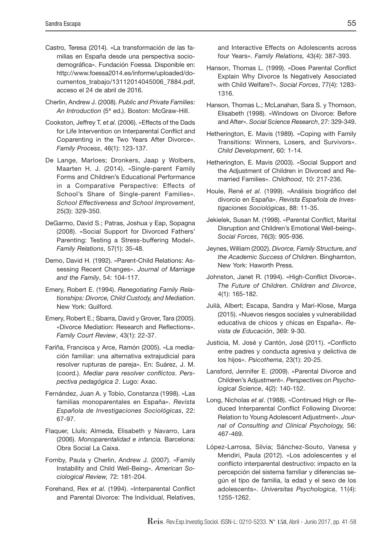- Castro, Teresa (2014). «La transformación de las familias en España desde una perspectiva sociodemográfica». Fundación Foessa. Disponible en: http://www.foessa2014.es/informe/uploaded/documentos\_trabajo/13112014045006\_7884.pdf, acceso el 24 de abril de 2016.
- Cherlin, Andrew J. (2008). *Public and Private Families: An Introduction* (5ª ed.). Boston: McGraw-Hill.
- Cookston, Jeffrey T. *et al.* (2006). «Effects of the Dads for Life Intervention on Interparental Conflict and Coparenting in the Two Years After Divorce». *Family Process*, 46(1): 123-137.
- De Lange, Marloes; Dronkers, Jaap y Wolbers, Maarten H. J. (2014). «Single-parent Family Forms and Children's Educational Performance in a Comparative Perspective: Effects of School's Share of Single-parent Families». *School Effectiveness and School Improvement*, 25(3): 329-350.
- DeGarmo, David S.; Patras, Joshua y Eap, Sopagna (2008). «Social Support for Divorced Fathers' Parenting: Testing a Stress-buffering Model». *Family Relations*, 57(1): 35-48.
- Demo, David H. (1992). «Parent-Child Relations: Assessing Recent Changes». *Journal of Marriage and the Family*, 54: 104-117.
- Emery, Robert E. (1994). *Renegotiating Family Relationships: Divorce, Child Custody, and Mediation*. New York: Guilford.
- Emery, Robert E.; Sbarra, David y Grover, Tara (2005). «Divorce Mediation: Research and Reflections». *Family Court Review*, 43(1): 22-37.
- Fariña, Francisca y Arce, Ramón (2005). «La mediación familiar: una alternativa extrajudicial para resolver rupturas de pareja». En: Suárez, J. M. (coord.). *Mediar para resolver conflictos*. *Perspectiva pedagógica 2*. Lugo: Axac.
- Fernández, Juan A. y Tobío, Constanza (1998). «Las familias monoparentales en España». *Revista Española de Investigaciones Sociológicas*, 22: 67-97.
- Flaquer, Lluís; Almeda, Elisabeth y Navarro, Lara (2006). *Monoparentalidad e infancia.* Barcelona: Obra Social La Caixa.
- Fomby, Paula y Cherlin, Andrew J. (2007). «Family Instability and Child Well-Being». *American Sociological Review,* 72: 181-204.
- Forehand, Rex *et al.* (1994). «Interparental Conflict and Parental Divorce: The Individual, Relatives,

and Interactive Effects on Adolescents across four Years». *Family Relations,* 43(4): 387-393.

- Hanson, Thomas L. (1999). «Does Parental Conflict Explain Why Divorce Is Negatively Associated with Child Welfare?». *Social Forces*, 77(4): 1283- 1316.
- Hanson, Thomas L.; McLanahan, Sara S. y Thomson, Elisabeth (1998). «Windows on Divorce: Before and After». *Social Science Research*, 27: 329-349.
- Hetherington, E. Mavis (1989). «Coping with Family Transitions: Winners, Losers, and Survivors». *Child Development*, 60: 1-14.
- Hetherington, E. Mavis (2003). «Social Support and the Adjustment of Children in Divorced and Remarried Families». *Childhood*, 10: 217-236.
- Houle, René *et al.* (1999). «Análisis biográfico del divorcio en España». *Revista Española de Investigaciones Sociológicas*, 88: 11-35.
- Jekielek, Susan M. (1998). «Parental Conflict, Marital Disruption and Children's Emotional Well-being». *Social Forces*, 76(3): 905-936.
- Jeynes, William (2002). *Divorce, Family Structure, and the Academic Success of Children*. Binghamton, New York: Haworth Press.
- Johnston, Janet R. (1994). «High-Conflict Divorce». *The Future of Children. Children and Divorce*, 4(1): 165-182.
- Julià, Albert; Escapa, Sandra y Marí-Klose, Marga (2015). «Nuevos riesgos sociales y vulnerabilidad educativa de chicos y chicas en España». *Revista de Educación*, 369: 9-30.
- Justicia, M. José y Cantón, José (2011). «Conflicto entre padres y conducta agresiva y delictiva de los hijos». *Psicothema*, 23(1): 20-25.
- Lansford, Jennifer E. (2009). «Parental Divorce and Children's Adjustment». *Perspectives on Psychological Science*, 4(2): 140-152.
- Long, Nicholas *et al*. (1988). «Continued High or Reduced Interparental Conflict Following Divorce: Relation to Young Adolescent Adjustment». *Journal of Consulting and Clinical Psychology,* 56: 467-469.
- López-Larrosa, Silvia; Sánchez-Souto, Vanesa y Mendiri, Paula (2012). «Los adolescentes y el conflicto interparental destructivo: impacto en la percepción del sistema familiar y diferencias según el tipo de familia, la edad y el sexo de los adolescents». *Universitas Psychologica*, 11(4): 1255-1262.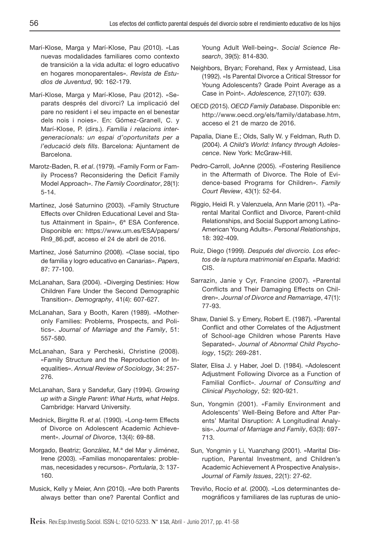- Marí-Klose, Marga y Marí-Klose, Pau (2010). «Las nuevas modalidades familiares como contexto de transición a la vida adulta: el logro educativo en hogares monoparentales». *Revista de Estudios de Juventud*, 90: 162-179.
- Marí-Klose, Marga y Marí-Klose, Pau (2012). «Separats després del divorci? La implicació del pare no resident i el seu impacte en el benestar dels nois i noies». En: Gómez-Granell, C. y Marí-Klose, P. (dirs.). *Família i relacions intergeneracionals: un espai d'oportunitats per a l'educació dels fills*. Barcelona: Ajuntament de Barcelona.
- Marotz-Baden, R. *et al*. (1979). «Family Form or Family Process? Reconsidering the Deficit Family Model Approach». *The Family Coordinator*, 28(1): 5-14.
- Martínez, José Saturnino (2003). «Family Structure Effects over Children Educational Level and Status Attainment in Spain», 6ª ESA Conference. Disponible en: https://www.um.es/ESA/papers/ Rn9\_86.pdf, acceso el 24 de abril de 2016.
- Martínez, José Saturnino (2008). «Clase social, tipo de familia y logro educativo en Canarias». *Papers*, 87: 77-100.
- McLanahan, Sara (2004). «Diverging Destinies: How Children Fare Under the Second Demographic Transition». *Demography*, 41(4): 607-627.
- McLanahan, Sara y Booth, Karen (1989). «Motheronly Families: Problems, Prospects, and Politics». *Journal of Marriage and the Family*, 51: 557-580.
- McLanahan, Sara y Percheski, Christine (2008). «Family Structure and the Reproduction of Inequalities». *Annual Review of Sociology*, 34: 257- 276.
- McLanahan, Sara y Sandefur, Gary (1994). *Growing up with a Single Parent: What Hurts, what Helps*. Cambridge: Harvard University.
- Mednick, Birgitte R. *et al.* (1990). «Long-term Effects of Divorce on Adolescent Academic Achievement». *Journal of Divorce*, 13(4): 69-88.
- Morgado, Beatriz; González, M.ª del Mar y Jiménez, Irene (2003). «Familias monoparentales: problemas, necesidades y recursos». *Portularia*, 3: 137- 160.
- Musick, Kelly y Meier, Ann (2010). «Are both Parents always better than one? Parental Conflict and

Young Adult Well-being». *Social Science Research*, 39(5): 814-830.

- Neighbors, Bryan; Forehand, Rex y Armistead, Lisa (1992). «Is Parental Divorce a Critical Stressor for Young Adolescents? Grade Point Average as a Case in Point». *Adolescence,* 27(107): 639.
- OECD (2015). *OECD Family Database*. Disponible en: http://www.oecd.org/els/family/database.htm, acceso el 21 de marzo de 2016.
- Papalia, Diane E.; Olds, Sally W. y Feldman, Ruth D. (2004). *A Child's World: Infancy through Adolescence*. New York: McGraw-Hill.
- Pedro-Carroll, JoAnne (2005). «Fostering Resilience in the Aftermath of Divorce. The Role of Evidence-based Programs for Children». *Family Court Review*, 43(1): 52-64.
- Riggio, Heidi R. y Valenzuela, Ann Marie (2011). «Parental Marital Conflict and Divorce, Parent-child Relationships, and Social Support among Latino-American Young Adults». *Personal Relationships*, 18: 392-409.
- Ruiz, Diego (1999). *Después del divorcio. Los efectos de la ruptura matrimonial en España*. Madrid: CIS.
- Sarrazin, Janie y Cyr, Francine (2007). «Parental Conflicts and Their Damaging Effects on Children». *Journal of Divorce and Remarriage*, 47(1): 77-93.
- Shaw, Daniel S. y Emery, Robert E. (1987). «Parental Conflict and other Correlates of the Adjustment of School-age Children whose Parents Have Separated». *Journal of Abnormal Child Psychology*, 15(2): 269-281.
- Slater, Elisa J. y Haber, Joel D. (1984). «Adolescent Adjustment Following Divorce as a Function of Familial Conflict». *Journal of Consulting and Clinical Psychology*, 52: 920-921.
- Sun, Yongmin (2001). «Family Environment and Adolescents' Well‐Being Before and After Parents' Marital Disruption: A Longitudinal Analysis». *Journal of Marriage and Family*, 63(3): 697- 713.
- Sun, Yongmin y Li, Yuanzhang (2001). «Marital Disruption, Parental Investment, and Children's Academic Achievement A Prospective Analysis». *Journal of Family Issues*, 22(1): 27-62.
- Treviño, Rocío *et al.* (2000). «Los determinantes demográficos y familiares de las rupturas de unio-